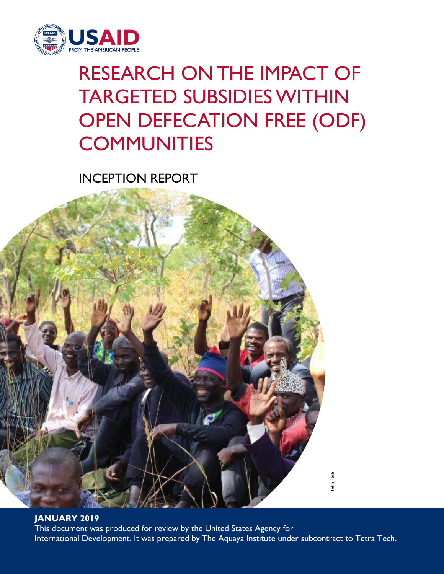

# RESEARCH ON THE IMPACT OF TARGETED SUBSIDIES WITHIN OPEN DEFECATION FREE (ODF) **COMMUNITIES**

INCEPTION REPORT



**JANUARY 2019** This document was produced for review by the United States Agency for International Development. It was prepared by The Aquaya Institute under subcontract to Tetra Tech.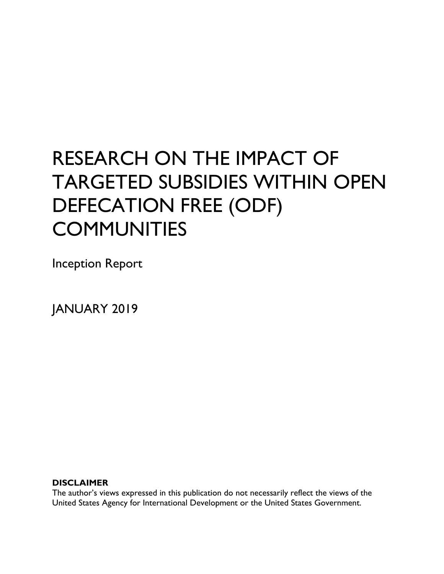# RESEARCH ON THE IMPACT OF TARGETED SUBSIDIES WITHIN OPEN DEFECATION FREE (ODF) **COMMUNITIES**

Inception Report

JANUARY 2019

#### **DISCLAIMER**

The author's views expressed in this publication do not necessarily reflect the views of the United States Agency for International Development or the United States Government.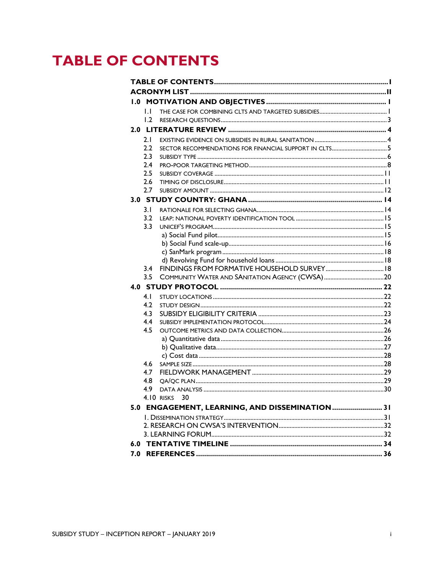## **TABLE OF CONTENTS**

| $\mathbf{L}$ .0 |     |                                                       |  |
|-----------------|-----|-------------------------------------------------------|--|
|                 | IJ  |                                                       |  |
|                 | 1.2 |                                                       |  |
|                 |     |                                                       |  |
|                 | 2.1 |                                                       |  |
|                 | 2.2 | SECTOR RECOMMENDATIONS FOR FINANCIAL SUPPORT IN CLTS5 |  |
|                 | 2.3 |                                                       |  |
|                 | 2.4 |                                                       |  |
|                 | 2.5 |                                                       |  |
|                 | 2.6 |                                                       |  |
|                 | 2.7 |                                                       |  |
|                 |     |                                                       |  |
|                 | 3.1 |                                                       |  |
|                 | 3.2 |                                                       |  |
|                 | 3.3 |                                                       |  |
|                 |     |                                                       |  |
|                 |     |                                                       |  |
|                 |     |                                                       |  |
|                 | 3.4 |                                                       |  |
|                 | 3.5 |                                                       |  |
|                 |     |                                                       |  |
|                 | 4.1 |                                                       |  |
|                 | 4.2 |                                                       |  |
|                 | 4.3 |                                                       |  |
|                 | 4.4 |                                                       |  |
|                 | 4.5 |                                                       |  |
|                 |     |                                                       |  |
|                 |     |                                                       |  |
|                 |     |                                                       |  |
|                 | 4.6 |                                                       |  |
|                 | 4.7 |                                                       |  |
|                 | 4.8 |                                                       |  |
|                 | 4.9 |                                                       |  |
|                 |     | 4.10 RISKS<br>- 30                                    |  |
|                 |     | 5.0 ENGAGEMENT, LEARNING, AND DISSEMINATION 31        |  |
|                 |     |                                                       |  |
|                 |     |                                                       |  |
|                 |     |                                                       |  |
| 6.0             |     |                                                       |  |
| 7.0             |     |                                                       |  |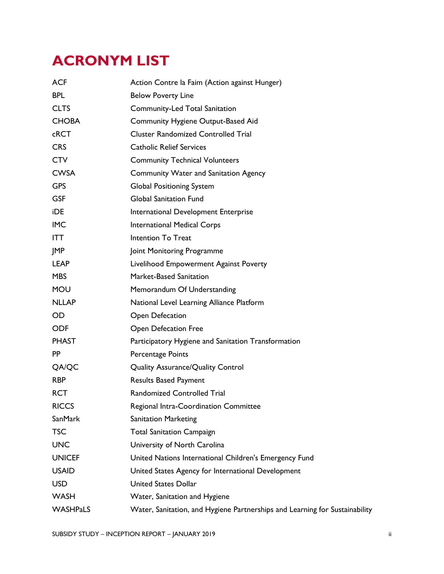## **ACRONYM LIST**

| <b>ACF</b>      | Action Contre la Faim (Action against Hunger)                               |
|-----------------|-----------------------------------------------------------------------------|
| <b>BPL</b>      | <b>Below Poverty Line</b>                                                   |
| <b>CLTS</b>     | Community-Led Total Sanitation                                              |
| <b>CHOBA</b>    | Community Hygiene Output-Based Aid                                          |
| <b>cRCT</b>     | <b>Cluster Randomized Controlled Trial</b>                                  |
| <b>CRS</b>      | <b>Catholic Relief Services</b>                                             |
| <b>CTV</b>      | <b>Community Technical Volunteers</b>                                       |
| <b>CWSA</b>     | Community Water and Sanitation Agency                                       |
| <b>GPS</b>      | <b>Global Positioning System</b>                                            |
| <b>GSF</b>      | <b>Global Sanitation Fund</b>                                               |
| iDE             | International Development Enterprise                                        |
| <b>IMC</b>      | <b>International Medical Corps</b>                                          |
| <b>ITT</b>      | <b>Intention To Treat</b>                                                   |
| <b>JMP</b>      | Joint Monitoring Programme                                                  |
| <b>LEAP</b>     | Livelihood Empowerment Against Poverty                                      |
| <b>MBS</b>      | Market-Based Sanitation                                                     |
| <b>MOU</b>      | Memorandum Of Understanding                                                 |
| <b>NLLAP</b>    | National Level Learning Alliance Platform                                   |
| OD.             | Open Defecation                                                             |
| <b>ODF</b>      | <b>Open Defecation Free</b>                                                 |
| <b>PHAST</b>    | Participatory Hygiene and Sanitation Transformation                         |
| <b>PP</b>       | Percentage Points                                                           |
| QA/QC           | <b>Quality Assurance/Quality Control</b>                                    |
| <b>RBP</b>      | <b>Results Based Payment</b>                                                |
| <b>RCT</b>      | <b>Randomized Controlled Trial</b>                                          |
| <b>RICCS</b>    | Regional Intra-Coordination Committee                                       |
| <b>SanMark</b>  | <b>Sanitation Marketing</b>                                                 |
| <b>TSC</b>      | <b>Total Sanitation Campaign</b>                                            |
| <b>UNC</b>      | University of North Carolina                                                |
| <b>UNICEF</b>   | United Nations International Children's Emergency Fund                      |
| <b>USAID</b>    | United States Agency for International Development                          |
| <b>USD</b>      | <b>United States Dollar</b>                                                 |
| <b>WASH</b>     | Water, Sanitation and Hygiene                                               |
| <b>WASHPaLS</b> | Water, Sanitation, and Hygiene Partnerships and Learning for Sustainability |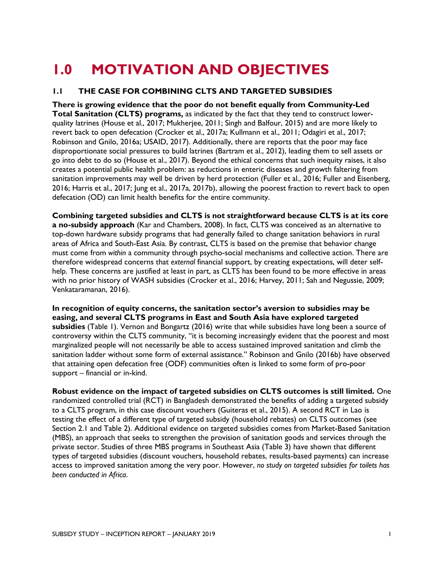## **1.0 MOTIVATION AND OBJECTIVES**

#### **1.1 THE CASE FOR COMBINING CLTS AND TARGETED SUBSIDIES**

**There is growing evidence that the poor do not benefit equally from Community-Led Total Sanitation (CLTS) programs,** as indicated by the fact that they tend to construct lowerquality latrines (House et al., 2017; Mukherjee, 2011; Singh and Balfour, 2015) and are more likely to revert back to open defecation (Crocker et al., 2017a; Kullmann et al., 2011; Odagiri et al., 2017; Robinson and Gnilo, 2016a; USAID, 2017). Additionally, there are reports that the poor may face disproportionate social pressures to build latrines (Bartram et al., 2012), leading them to sell assets or go into debt to do so (House et al., 2017). Beyond the ethical concerns that such inequity raises, it also creates a potential public health problem: as reductions in enteric diseases and growth faltering from sanitation improvements may well be driven by herd protection (Fuller et al., 2016; Fuller and Eisenberg, 2016; Harris et al., 2017; Jung et al., 2017a, 2017b), allowing the poorest fraction to revert back to open defecation (OD) can limit health benefits for the entire community.

**Combining targeted subsidies and CLTS is not straightforward because CLTS is at its core a no-subsidy approach** (Kar and Chambers, 2008). In fact, CLTS was conceived as an alternative to top-down hardware subsidy programs that had generally failed to change sanitation behaviors in rural areas of Africa and South-East Asia. By contrast, CLTS is based on the premise that behavior change must come from *within* a community through psycho-social mechanisms and collective action. There are therefore widespread concerns that *external* financial support, by creating expectations, will deter selfhelp. These concerns are justified at least in part, as CLTS has been found to be more effective in areas with no prior history of WASH subsidies (Crocker et al., 2016; Harvey, 2011; Sah and Negussie, 2009; Venkataramanan, 2016).

**In recognition of equity concerns, the sanitation sector's aversion to subsidies may be easing, and several CLTS programs in East and South Asia have explored targeted subsidies** (Table 1). Vernon and Bongartz (2016) write that while subsidies have long been a source of controversy within the CLTS community, "it is becoming increasingly evident that the poorest and most marginalized people will not necessarily be able to access sustained improved sanitation and climb the sanitation ladder without some form of external assistance." Robinson and Gnilo (2016b) have observed that attaining open defecation free (ODF) communities often is linked to some form of pro-poor support – financial or in-kind.

**Robust evidence on the impact of targeted subsidies on CLTS outcomes is still limited.** One randomized controlled trial (RCT) in Bangladesh demonstrated the benefits of adding a targeted subsidy to a CLTS program, in this case discount vouchers (Guiteras et al., 2015). A second RCT in Lao is testing the effect of a different type of targeted subsidy (household rebates) on CLTS outcomes (see Section 2.1 and Table 2). Additional evidence on targeted subsidies comes from Market-Based Sanitation (MBS), an approach that seeks to strengthen the provision of sanitation goods and services through the private sector. Studies of three MBS programs in Southeast Asia (Table 3) have shown that different types of targeted subsidies (discount vouchers, household rebates, results-based payments) can increase access to improved sanitation among the very poor. However, *no study on targeted subsidies for toilets has been conducted in Africa*.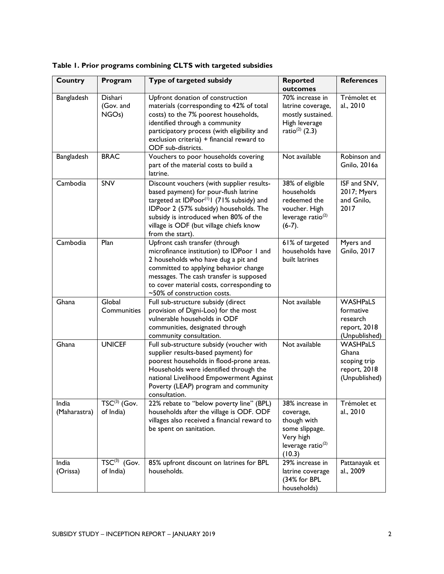| <b>Country</b>        | Program                                          | Type of targeted subsidy                                                                                                                                                                                                                                                               | <b>Reported</b><br>outcomes                                                                                     | <b>References</b>                                                         |
|-----------------------|--------------------------------------------------|----------------------------------------------------------------------------------------------------------------------------------------------------------------------------------------------------------------------------------------------------------------------------------------|-----------------------------------------------------------------------------------------------------------------|---------------------------------------------------------------------------|
| Bangladesh            | Dishari<br>(Gov. and<br>NGOs)                    | Upfront donation of construction<br>materials (corresponding to 42% of total<br>costs) to the 7% poorest households,<br>identified through a community<br>participatory process (with eligibility and<br>exclusion criteria) + financial reward to<br>ODF sub-districts.               | 70% increase in<br>latrine coverage,<br>mostly sustained.<br>High leverage<br>ratio <sup>(2)</sup> (2.3)        | Trémolet et<br>al., 2010                                                  |
| Bangladesh            | <b>BRAC</b>                                      | Vouchers to poor households covering<br>part of the material costs to build a<br>latrine.                                                                                                                                                                                              | Not available                                                                                                   | Robinson and<br>Gnilo, 2016a                                              |
| Cambodia              | SNV                                              | Discount vouchers (with supplier results-<br>based payment) for pour-flush latrine<br>targeted at $IDPoor^{(1)}$   (71% subsidy) and<br>IDPoor 2 (57% subsidy) households. The<br>subsidy is introduced when 80% of the<br>village is ODF (but village chiefs know<br>from the start). | 38% of eligible<br>households<br>redeemed the<br>voucher. High<br>leverage ratio <sup>(2)</sup><br>$(6-7).$     | ISF and SNV,<br>2017; Myers<br>and Gnilo,<br>2017                         |
| Cambodia              | Plan                                             | Upfront cash transfer (through<br>microfinance institution) to IDPoor 1 and<br>2 households who have dug a pit and<br>committed to applying behavior change<br>messages. The cash transfer is supposed<br>to cover material costs, corresponding to<br>~50% of construction costs.     | 61% of targeted<br>households have<br>built latrines                                                            | Myers and<br>Gnilo, 2017                                                  |
| Ghana                 | Global<br>Communities                            | Full sub-structure subsidy (direct<br>provision of Digni-Loo) for the most<br>vulnerable households in ODF<br>communities, designated through<br>community consultation.                                                                                                               | Not available                                                                                                   | <b>WASHPaLS</b><br>formative<br>research<br>report, 2018<br>(Unpublished) |
| Ghana                 | <b>UNICEF</b>                                    | Full sub-structure subsidy (voucher with<br>supplier results-based payment) for<br>poorest households in flood-prone areas.<br>Households were identified through the<br>national Livelihood Empowerment Against<br>Poverty (LEAP) program and community<br>consultation.              | Not available                                                                                                   | <b>WASHPaLS</b><br>Ghana<br>scoping trip<br>report, 2018<br>(Unpublished) |
| India<br>(Maharastra) | $TSC^{(3)}$ (Gov.<br>of India)                   | 22% rebate to "below poverty line" (BPL)<br>households after the village is ODF. ODF<br>villages also received a financial reward to<br>be spent on sanitation.                                                                                                                        | 38% increase in<br>coverage,<br>though with<br>some slippage.<br>Very high<br>leverage ratio $^{(2)}$<br>(10.3) | Trémolet et<br>al., 2010                                                  |
| India<br>(Orissa)     | $\overline{\text{TSC}}^{(3)}$ (Gov.<br>of India) | 85% upfront discount on latrines for BPL<br>households.                                                                                                                                                                                                                                | 29% increase in<br>latrine coverage<br>(34% for BPL<br>households)                                              | Pattanayak et<br>al., 2009                                                |

**Table 1. Prior programs combining CLTS with targeted subsidies**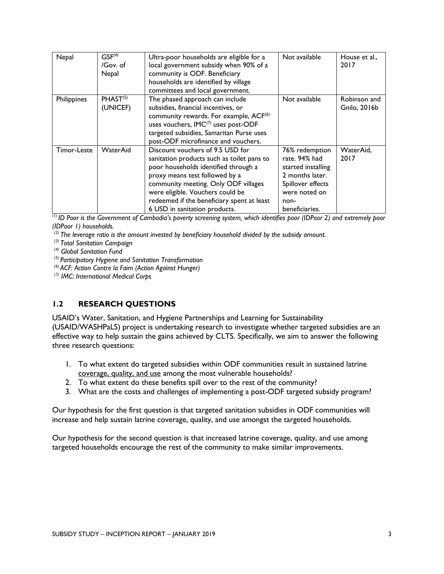| Nepal       | GSF <sup>(4)</sup><br>/Gov. of<br>Nepal | Ultra-poor households are eligible for a<br>local government subsidy when 90% of a<br>community is ODF. Beneficiary<br>households are identified by village<br>committees and local government.                                                                                                                     | Not available                                                                                                                            | House et al.,<br>2017        |
|-------------|-----------------------------------------|---------------------------------------------------------------------------------------------------------------------------------------------------------------------------------------------------------------------------------------------------------------------------------------------------------------------|------------------------------------------------------------------------------------------------------------------------------------------|------------------------------|
| Philippines | PHAST <sup>(5)</sup><br>(UNICEF)        | The phased approach can include<br>subsidies, financial incentives, or<br>community rewards. For example, ACF <sup>(6)</sup><br>uses vouchers, IMC <sup>(7)</sup> uses post-ODF<br>targeted subsidies, Samaritan Purse uses<br>post-ODF microfinance and vouchers.                                                  | Not available                                                                                                                            | Robinson and<br>Gnilo, 2016b |
| Timor-Leste | <b>WaterAid</b>                         | Discount vouchers of 9.5 USD for<br>sanitation products such as toilet pans to<br>poor households identified through a<br>proxy means test followed by a<br>community meeting. Only ODF villages<br>were eligible. Vouchers could be<br>redeemed if the beneficiary spent at least<br>6 USD in sanitation products. | 76% redemption<br>rate. 94% had<br>started installing<br>2 months later.<br>Spillover effects<br>were noted on<br>non-<br>beneficiaries. | WaterAid,<br>2017            |

*(1) ID Poor is the Government of Cambodia's poverty screening system, which identifies poor (IDPoor 2) and extremely poor (IDPoor 1) households.*

*(2) The leverage ratio is the amount invested by beneficiary household divided by the subsidy amount.*

*(3) Total Sanitation Campaign*

*(4) Global Sanitation Fund*

*(5) Participatory Hygiene and Sanitation Transformation*

*(6) ACF: Action Contre la Faim (Action Against Hunger)*

*(7) IMC: International Medical Corps*

#### **1.2 RESEARCH QUESTIONS**

USAID's Water, Sanitation, and Hygiene Partnerships and Learning for Sustainability (USAID/WASHPaLS) project is undertaking research to investigate whether targeted subsidies are an effective way to help sustain the gains achieved by CLTS. Specifically, we aim to answer the following three research questions:

- 1. To what extent do targeted subsidies within ODF communities result in sustained latrine coverage, quality, and use among the most vulnerable households?
- 2. To what extent do these benefits spill over to the rest of the community?
- 3. What are the costs and challenges of implementing a post-ODF targeted subsidy program?

Our hypothesis for the first question is that targeted sanitation subsidies in ODF communities will increase and help sustain latrine coverage, quality, and use amongst the targeted households.

Our hypothesis for the second question is that increased latrine coverage, quality, and use among targeted households encourage the rest of the community to make similar improvements.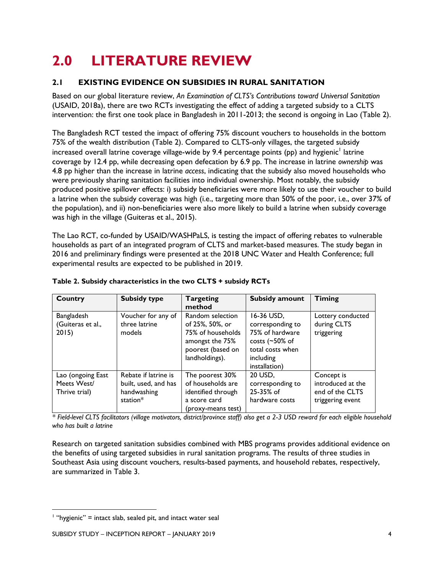## **2.0 LITERATURE REVIEW**

#### **2.1 EXISTING EVIDENCE ON SUBSIDIES IN RURAL SANITATION**

Based on our global literature review, *An Examination of CLTS's Contributions toward Universal Sanitation* (USAID, 2018a), there are two RCTs investigating the effect of adding a targeted subsidy to a CLTS intervention: the first one took place in Bangladesh in 2011-2013; the second is ongoing in Lao (Table 2).

The Bangladesh RCT tested the impact of offering 75% discount vouchers to households in the bottom 75% of the wealth distribution (Table 2). Compared to CLTS-only villages, the targeted subsidy increased overall latrine coverage village-wide by 9.4 percentage points (pp) and hygienic $^{\rm l}$  latrine coverage by 12.4 pp, while decreasing open defecation by 6.9 pp. The increase in latrine *ownership* was 4.8 pp higher than the increase in latrine *access*, indicating that the subsidy also moved households who were previously sharing sanitation facilities into individual ownership. Most notably, the subsidy produced positive spillover effects: i) subsidy beneficiaries were more likely to use their voucher to build a latrine when the subsidy coverage was high (i.e., targeting more than 50% of the poor, i.e., over 37% of the population), and ii) non-beneficiaries were also more likely to build a latrine when subsidy coverage was high in the village (Guiteras et al., 2015).

The Lao RCT, co-funded by USAID/WASHPaLS, is testing the impact of offering rebates to vulnerable households as part of an integrated program of CLTS and market-based measures. The study began in 2016 and preliminary findings were presented at the 2018 UNC Water and Health Conference; full experimental results are expected to be published in 2019.

| Country                                           | <b>Subsidy type</b>                                                     | <b>Targeting</b><br>method                                                                                         | Subsidy amount                                                                                                            | <b>Timing</b>                                                          |
|---------------------------------------------------|-------------------------------------------------------------------------|--------------------------------------------------------------------------------------------------------------------|---------------------------------------------------------------------------------------------------------------------------|------------------------------------------------------------------------|
| Bangladesh<br>(Guiteras et al.,<br>2015           | Voucher for any of<br>three latrine<br>models                           | Random selection<br>of 25%, 50%, or<br>75% of households<br>amongst the 75%<br>poorest (based on<br>landholdings). | 16-36 USD,<br>corresponding to<br>75% of hardware<br>costs $(~50\%~of)$<br>total costs when<br>including<br>installation) | Lottery conducted<br>during CLTS<br>triggering                         |
| Lao (ongoing East<br>Meets West/<br>Thrive trial) | Rebate if latrine is<br>built, used, and has<br>handwashing<br>station* | The poorest 30%<br>of households are<br>identified through<br>a score card<br>(proxy-means test)                   | 20 USD.<br>corresponding to<br>25-35% of<br>hardware costs                                                                | Concept is<br>introduced at the<br>end of the CLTS<br>triggering event |

#### **Table 2. Subsidy characteristics in the two CLTS + subsidy RCTs**

*\* Field-level CLTS facilitators (village motivators, district/province staff) also get a 2-3 USD reward for each eligible household who has built a latrine*

Research on targeted sanitation subsidies combined with MBS programs provides additional evidence on the benefits of using targeted subsidies in rural sanitation programs. The results of three studies in Southeast Asia using discount vouchers, results-based payments, and household rebates, respectively, are summarized in Table 3.

 $\overline{a}$ 

 $<sup>1</sup>$  "hygienic" = intact slab, sealed pit, and intact water seal</sup>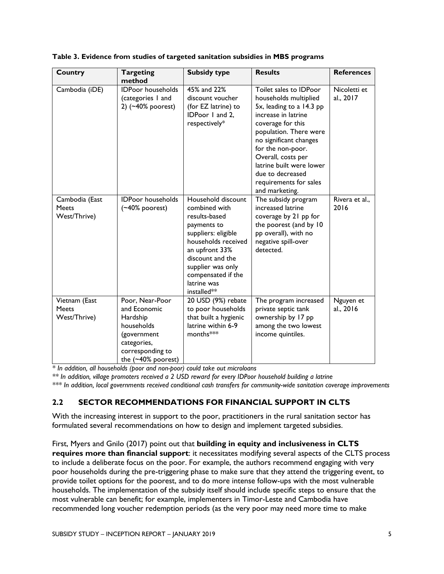| Country                                        | <b>Targeting</b><br>method                                                                                                           | <b>Subsidy type</b>                                                                                                                                                                                                              | <b>Results</b>                                                                                                                                                                                                                                                                                                     | <b>References</b>         |
|------------------------------------------------|--------------------------------------------------------------------------------------------------------------------------------------|----------------------------------------------------------------------------------------------------------------------------------------------------------------------------------------------------------------------------------|--------------------------------------------------------------------------------------------------------------------------------------------------------------------------------------------------------------------------------------------------------------------------------------------------------------------|---------------------------|
| Cambodia (iDE)                                 | <b>IDPoor households</b><br>(categories I and<br>$2)$ (~40% poorest)                                                                 | 45% and 22%<br>discount voucher<br>(for EZ latrine) to<br>IDPoor 1 and 2,<br>respectively*                                                                                                                                       | Toilet sales to IDPoor<br>households multiplied<br>5x, leading to a 14.3 pp<br>increase in latrine<br>coverage for this<br>population. There were<br>no significant changes<br>for the non-poor.<br>Overall, costs per<br>latrine built were lower<br>due to decreased<br>requirements for sales<br>and marketing. | Nicoletti et<br>al., 2017 |
| Cambodia (East<br><b>Meets</b><br>West/Thrive) | <b>IDPoor households</b><br>$(-40\%$ poorest)                                                                                        | Household discount<br>combined with<br>results-based<br>payments to<br>suppliers: eligible<br>households received<br>an upfront 33%<br>discount and the<br>supplier was only<br>compensated if the<br>latrine was<br>installed** | The subsidy program<br>increased latrine<br>coverage by 21 pp for<br>the poorest (and by 10<br>pp overall), with no<br>negative spill-over<br>detected.                                                                                                                                                            | Rivera et al.,<br>2016    |
| Vietnam (East<br><b>Meets</b><br>West/Thrive)  | Poor, Near-Poor<br>and Economic<br>Hardship<br>households<br>(government<br>categories,<br>corresponding to<br>the $(-40\%$ poorest) | 20 USD (9%) rebate<br>to poor households<br>that built a hygienic<br>latrine within 6-9<br>months***                                                                                                                             | The program increased<br>private septic tank<br>ownership by 17 pp<br>among the two lowest<br>income quintiles.                                                                                                                                                                                                    | Nguyen et<br>al., 2016    |

#### **Table 3. Evidence from studies of targeted sanitation subsidies in MBS programs**

*\* In addition, all households (poor and non-poor) could take out microloans*

*\*\* In addition, village promoters received a 2 USD reward for every IDPoor household building a latrine*

*\*\*\* In addition, local governments received conditional cash transfers for community-wide sanitation coverage improvements*

#### **2.2 SECTOR RECOMMENDATIONS FOR FINANCIAL SUPPORT IN CLTS**

With the increasing interest in support to the poor, practitioners in the rural sanitation sector has formulated several recommendations on how to design and implement targeted subsidies.

First, Myers and Gnilo (2017) point out that **building in equity and inclusiveness in CLTS requires more than financial support**: it necessitates modifying several aspects of the CLTS process to include a deliberate focus on the poor. For example, the authors recommend engaging with very poor households during the pre-triggering phase to make sure that they attend the triggering event, to provide toilet options for the poorest, and to do more intense follow-ups with the most vulnerable households. The implementation of the subsidy itself should include specific steps to ensure that the most vulnerable can benefit; for example, implementers in Timor-Leste and Cambodia have recommended long voucher redemption periods (as the very poor may need more time to make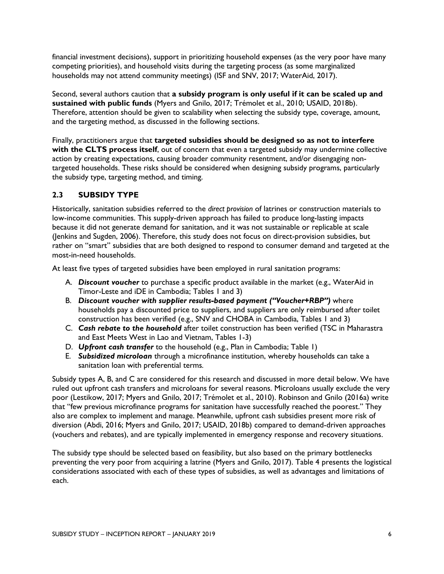financial investment decisions), support in prioritizing household expenses (as the very poor have many competing priorities), and household visits during the targeting process (as some marginalized households may not attend community meetings) (ISF and SNV, 2017; WaterAid, 2017).

Second, several authors caution that **a subsidy program is only useful if it can be scaled up and sustained with public funds** (Myers and Gnilo, 2017; Trémolet et al., 2010; USAID, 2018b). Therefore, attention should be given to scalability when selecting the subsidy type, coverage, amount, and the targeting method, as discussed in the following sections.

Finally, practitioners argue that **targeted subsidies should be designed so as not to interfere with the CLTS process itself**, out of concern that even a targeted subsidy may undermine collective action by creating expectations, causing broader community resentment, and/or disengaging nontargeted households. These risks should be considered when designing subsidy programs, particularly the subsidy type, targeting method, and timing.

#### **2.3 SUBSIDY TYPE**

Historically, sanitation subsidies referred to the *direct provision* of latrines or construction materials to low-income communities. This supply-driven approach has failed to produce long-lasting impacts because it did not generate demand for sanitation, and it was not sustainable or replicable at scale (Jenkins and Sugden, 2006). Therefore, this study does not focus on direct-provision subsidies, but rather on "smart" subsidies that are both designed to respond to consumer demand and targeted at the most-in-need households.

At least five types of targeted subsidies have been employed in rural sanitation programs:

- A. *Discount voucher* to purchase a specific product available in the market (e.g., WaterAid in Timor-Leste and iDE in Cambodia; Tables 1 and 3)
- B. *Discount voucher with supplier results-based payment ("Voucher+RBP")* where households pay a discounted price to suppliers, and suppliers are only reimbursed after toilet construction has been verified (e.g., SNV and CHOBA in Cambodia, Tables 1 and 3)
- C. *Cash rebate to the household* after toilet construction has been verified (TSC in Maharastra and East Meets West in Lao and Vietnam, Tables 1-3)
- D. *Upfront cash transfer* to the household (e.g., Plan in Cambodia; Table 1)
- E. *Subsidized microloan* through a microfinance institution, whereby households can take a sanitation loan with preferential terms*.*

Subsidy types A, B, and C are considered for this research and discussed in more detail below. We have ruled out upfront cash transfers and microloans for several reasons. Microloans usually exclude the very poor (Lestikow, 2017; Myers and Gnilo, 2017; Trémolet et al., 2010). Robinson and Gnilo (2016a) write that "few previous microfinance programs for sanitation have successfully reached the poorest." They also are complex to implement and manage. Meanwhile, upfront cash subsidies present more risk of diversion (Abdi, 2016; Myers and Gnilo, 2017; USAID, 2018b) compared to demand-driven approaches (vouchers and rebates), and are typically implemented in emergency response and recovery situations.

The subsidy type should be selected based on feasibility, but also based on the primary bottlenecks preventing the very poor from acquiring a latrine (Myers and Gnilo, 2017). Table 4 presents the logistical considerations associated with each of these types of subsidies, as well as advantages and limitations of each.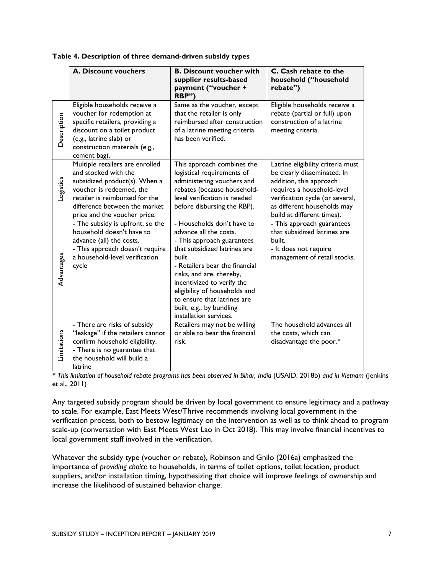|  |  |  | Table 4. Description of three demand-driven subsidy types |  |
|--|--|--|-----------------------------------------------------------|--|
|--|--|--|-----------------------------------------------------------|--|

|             | A. Discount vouchers                                                                                                                                                                                                    | <b>B. Discount voucher with</b><br>supplier results-based<br>payment ("voucher +<br>RBP")                                                                                                                                                                                                                                                      | C. Cash rebate to the<br>household ("household<br>rebate")                                                                                                                                                                |
|-------------|-------------------------------------------------------------------------------------------------------------------------------------------------------------------------------------------------------------------------|------------------------------------------------------------------------------------------------------------------------------------------------------------------------------------------------------------------------------------------------------------------------------------------------------------------------------------------------|---------------------------------------------------------------------------------------------------------------------------------------------------------------------------------------------------------------------------|
| Description | Eligible households receive a<br>voucher for redemption at<br>specific retailers, providing a<br>discount on a toilet product<br>(e.g., latrine slab) or<br>construction materials (e.g.,<br>cement bag).               | Same as the voucher, except<br>that the retailer is only<br>reimbursed after construction<br>of a latrine meeting criteria<br>has been verified.                                                                                                                                                                                               | Eligible households receive a<br>rebate (partial or full) upon<br>construction of a latrine<br>meeting criteria.                                                                                                          |
| Logistics   | Multiple retailers are enrolled<br>and stocked with the<br>subsidized product(s). When a<br>voucher is redeemed, the<br>retailer is reimbursed for the<br>difference between the market<br>price and the voucher price. | This approach combines the<br>logistical requirements of<br>administering vouchers and<br>rebates (because household-<br>level verification is needed<br>before disbursing the RBP).                                                                                                                                                           | Latrine eligibility criteria must<br>be clearly disseminated. In<br>addition, this approach<br>requires a household-level<br>verification cycle (or several,<br>as different households may<br>build at different times). |
| Advantages  | - The subsidy is upfront, so the<br>household doesn't have to<br>advance (all) the costs.<br>- This approach doesn't require<br>a household-level verification<br>cycle                                                 | - Households don't have to<br>advance all the costs.<br>- This approach guarantees<br>that subsidized latrines are<br>built.<br>- Retailers bear the financial<br>risks, and are, thereby,<br>incentivized to verify the<br>eligibility of households and<br>to ensure that latrines are<br>built, e.g., by bundling<br>installation services. | - This approach guarantees<br>that subsidized latrines are<br>built.<br>- It does not require<br>management of retail stocks.                                                                                             |
| Limitations | - There are risks of subsidy<br>"leakage" if the retailers cannot<br>confirm household eligibility.<br>- There is no guarantee that<br>the household will build a<br>latrine                                            | Retailers may not be willing<br>or able to bear the financial<br>risk.                                                                                                                                                                                                                                                                         | The household advances all<br>the costs, which can<br>disadvantage the poor.*                                                                                                                                             |

*\* This limitation of household rebate programs has been observed in Bihar, India* (USAID, 2018b) *and in Vietnam* (Jenkins et al., 2011)

Any targeted subsidy program should be driven by local government to ensure legitimacy and a pathway to scale. For example, East Meets West/Thrive recommends involving local government in the verification process, both to bestow legitimacy on the intervention as well as to think ahead to program scale-up (conversation with East Meets West Lao in Oct 2018). This may involve financial incentives to local government staff involved in the verification.

Whatever the subsidy type (voucher or rebate), Robinson and Gnilo (2016a) emphasized the importance of *providing choice* to households, in terms of toilet options, toilet location, product suppliers, and/or installation timing, hypothesizing that choice will improve feelings of ownership and increase the likelihood of sustained behavior change.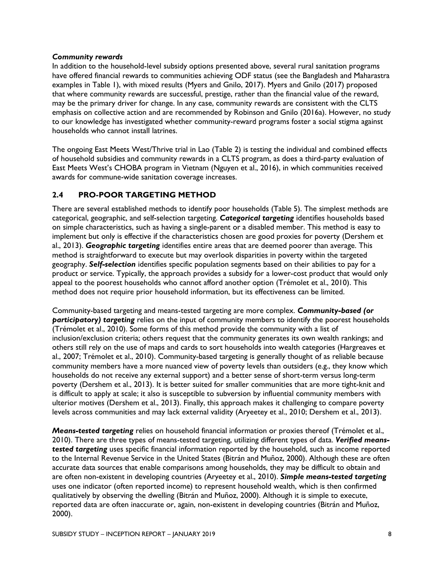#### *Community rewards*

In addition to the household-level subsidy options presented above, several rural sanitation programs have offered financial rewards to communities achieving ODF status (see the Bangladesh and Maharastra examples in Table 1), with mixed results (Myers and Gnilo, 2017). Myers and Gnilo (2017) proposed that where community rewards are successful, prestige, rather than the financial value of the reward, may be the primary driver for change. In any case, community rewards are consistent with the CLTS emphasis on collective action and are recommended by Robinson and Gnilo (2016a). However, no study to our knowledge has investigated whether community-reward programs foster a social stigma against households who cannot install latrines.

The ongoing East Meets West/Thrive trial in Lao (Table 2) is testing the individual and combined effects of household subsidies and community rewards in a CLTS program, as does a third-party evaluation of East Meets West's CHOBA program in Vietnam (Nguyen et al., 2016), in which communities received awards for commune-wide sanitation coverage increases.

#### **2.4 PRO-POOR TARGETING METHOD**

There are several established methods to identify poor households (Table 5). The simplest methods are categorical, geographic, and self-selection targeting. *Categorical targeting* identifies households based on simple characteristics, such as having a single-parent or a disabled member. This method is easy to implement but only is effective if the characteristics chosen are good proxies for poverty (Dershem et al., 2013). *Geographic targeting* identifies entire areas that are deemed poorer than average. This method is straightforward to execute but may overlook disparities in poverty within the targeted geography. *Self-selection* identifies specific population segments based on their abilities to pay for a product or service. Typically, the approach provides a subsidy for a lower-cost product that would only appeal to the poorest households who cannot afford another option (Trémolet et al., 2010). This method does not require prior household information, but its effectiveness can be limited.

Community-based targeting and means-tested targeting are more complex. *Community-based (or participatory) targeting* relies on the input of community members to identify the poorest households (Trémolet et al., 2010). Some forms of this method provide the community with a list of inclusion/exclusion criteria; others request that the community generates its own wealth rankings; and others still rely on the use of maps and cards to sort households into wealth categories (Hargreaves et al., 2007; Trémolet et al., 2010). Community-based targeting is generally thought of as reliable because community members have a more nuanced view of poverty levels than outsiders (e.g., they know which households do not receive any external support) and a better sense of short-term versus long-term poverty (Dershem et al., 2013). It is better suited for smaller communities that are more tight-knit and is difficult to apply at scale; it also is susceptible to subversion by influential community members with ulterior motives (Dershem et al., 2013). Finally, this approach makes it challenging to compare poverty levels across communities and may lack external validity (Aryeetey et al., 2010; Dershem et al., 2013).

*Means-tested targeting* relies on household financial information or proxies thereof (Trémolet et al., 2010). There are three types of means-tested targeting, utilizing different types of data. *Verified meanstested targeting* uses specific financial information reported by the household, such as income reported to the Internal Revenue Service in the United States (Bitrán and Muñoz, 2000). Although these are often accurate data sources that enable comparisons among households, they may be difficult to obtain and are often non-existent in developing countries (Aryeetey et al., 2010). *Simple means-tested targeting* uses one indicator (often reported income) to represent household wealth, which is then confirmed qualitatively by observing the dwelling (Bitrán and Muñoz, 2000). Although it is simple to execute, reported data are often inaccurate or, again, non-existent in developing countries (Bitrán and Muñoz, 2000).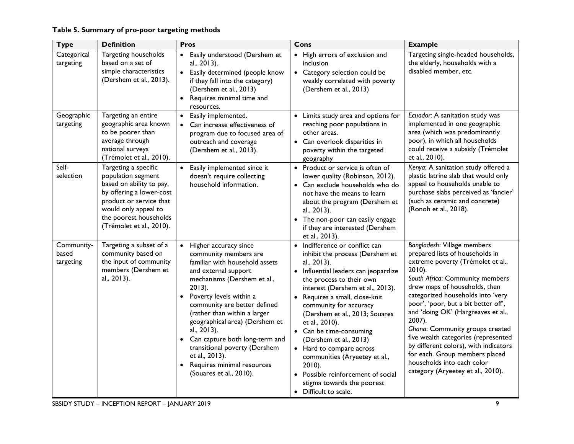#### **Table 5. Summary of pro-poor targeting methods**

| <b>Type</b>                      | <b>Definition</b>                                                                                                                                                                                           | Pros                                                                                                                                                                                                                                                                                                                                                                                                                                                                                    | Cons                                                                                                                                                                                                                                                                                                                                                                                                                                                                                                                                 | <b>Example</b>                                                                                                                                                                                                                                                                                                                                                                                                                                                                                                                            |
|----------------------------------|-------------------------------------------------------------------------------------------------------------------------------------------------------------------------------------------------------------|-----------------------------------------------------------------------------------------------------------------------------------------------------------------------------------------------------------------------------------------------------------------------------------------------------------------------------------------------------------------------------------------------------------------------------------------------------------------------------------------|--------------------------------------------------------------------------------------------------------------------------------------------------------------------------------------------------------------------------------------------------------------------------------------------------------------------------------------------------------------------------------------------------------------------------------------------------------------------------------------------------------------------------------------|-------------------------------------------------------------------------------------------------------------------------------------------------------------------------------------------------------------------------------------------------------------------------------------------------------------------------------------------------------------------------------------------------------------------------------------------------------------------------------------------------------------------------------------------|
| Categorical<br>targeting         | Targeting households<br>based on a set of<br>simple characteristics<br>(Dershem et al., 2013).                                                                                                              | • Easily understood (Dershem et<br>al., 2013).<br>• Easily determined (people know<br>if they fall into the category)<br>(Dershem et al., 2013)<br>Requires minimal time and<br>resources.                                                                                                                                                                                                                                                                                              | • High errors of exclusion and<br>inclusion<br>• Category selection could be<br>weakly correlated with poverty<br>(Dershem et al., 2013)                                                                                                                                                                                                                                                                                                                                                                                             | Targeting single-headed households,<br>the elderly, households with a<br>disabled member, etc.                                                                                                                                                                                                                                                                                                                                                                                                                                            |
| Geographic<br>targeting          | Targeting an entire<br>geographic area known<br>to be poorer than<br>average through<br>national surveys<br>(Trémolet et al., 2010).                                                                        | Easily implemented.<br>$\bullet$<br>Can increase effectiveness of<br>program due to focused area of<br>outreach and coverage<br>(Dershem et al., 2013).                                                                                                                                                                                                                                                                                                                                 | • Limits study area and options for<br>reaching poor populations in<br>other areas.<br>• Can overlook disparities in<br>poverty within the targeted<br>geography                                                                                                                                                                                                                                                                                                                                                                     | Ecuador: A sanitation study was<br>implemented in one geographic<br>area (which was predominantly<br>poor), in which all households<br>could receive a subsidy (Trémolet<br>et al., 2010).                                                                                                                                                                                                                                                                                                                                                |
| Self-<br>selection               | Targeting a specific<br>population segment<br>based on ability to pay,<br>by offering a lower-cost<br>product or service that<br>would only appeal to<br>the poorest households<br>(Trémolet et al., 2010). | • Easily implemented since it<br>doesn't require collecting<br>household information.                                                                                                                                                                                                                                                                                                                                                                                                   | • Product or service is often of<br>lower quality (Robinson, 2012).<br>• Can exclude households who do<br>not have the means to learn<br>about the program (Dershem et<br>al., 2013).<br>• The non-poor can easily engage<br>if they are interested (Dershem<br>et al., 2013).                                                                                                                                                                                                                                                       | Kenya: A sanitation study offered a<br>plastic latrine slab that would only<br>appeal to households unable to<br>purchase slabs perceived as 'fancier'<br>(such as ceramic and concrete)<br>(Ronoh et al., 2018).                                                                                                                                                                                                                                                                                                                         |
| Community-<br>based<br>targeting | Targeting a subset of a<br>community based on<br>the input of community<br>members (Dershem et<br>al., 2013).                                                                                               | Higher accuracy since<br>$\bullet$<br>community members are<br>familiar with household assets<br>and external support<br>mechanisms (Dershem et al.,<br>$2013$ ).<br>• Poverty levels within a<br>community are better defined<br>(rather than within a larger<br>geographical area) (Dershem et<br>al., 2013).<br>Can capture both long-term and<br>$\bullet$<br>transitional poverty (Dershem<br>et al., 2013).<br>Requires minimal resources<br>$\bullet$<br>(Souares et al., 2010). | • Indifference or conflict can<br>inhibit the process (Dershem et<br>al., 2013).<br>· Influential leaders can jeopardize<br>the process to their own<br>interest (Dershem et al., 2013).<br>• Requires a small, close-knit<br>community for accuracy<br>(Dershem et al., 2013; Souares<br>et al., 2010).<br>• Can be time-consuming<br>(Dershem et al., 2013)<br>• Hard to compare across<br>communities (Aryeetey et al.,<br>$2010$ ).<br>• Possible reinforcement of social<br>stigma towards the poorest<br>• Difficult to scale. | Bangladesh: Village members<br>prepared lists of households in<br>extreme poverty (Trémolet et al.,<br>$2010$ ).<br>South Africa: Community members<br>drew maps of households, then<br>categorized households into 'very<br>poor', 'poor, but a bit better off',<br>and 'doing OK' (Hargreaves et al.,<br>2007).<br>Ghana: Community groups created<br>five wealth categories (represented<br>by different colors), with indicators<br>for each. Group members placed<br>households into each color<br>category (Aryeetey et al., 2010). |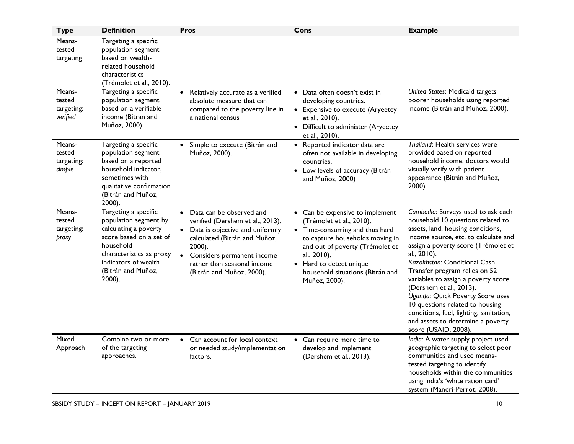| <b>Type</b>                                | <b>Definition</b>                                                                                                                                                                                  | <b>Pros</b>                                                                                                                                                                                                                                           | Cons                                                                                                                                                                                                                                                               | <b>Example</b>                                                                                                                                                                                                                                                                                                                                                                                                                                                                                                               |
|--------------------------------------------|----------------------------------------------------------------------------------------------------------------------------------------------------------------------------------------------------|-------------------------------------------------------------------------------------------------------------------------------------------------------------------------------------------------------------------------------------------------------|--------------------------------------------------------------------------------------------------------------------------------------------------------------------------------------------------------------------------------------------------------------------|------------------------------------------------------------------------------------------------------------------------------------------------------------------------------------------------------------------------------------------------------------------------------------------------------------------------------------------------------------------------------------------------------------------------------------------------------------------------------------------------------------------------------|
| Means-<br>tested<br>targeting              | Targeting a specific<br>population segment<br>based on wealth-<br>related household<br>characteristics<br>(Trémolet et al., 2010).                                                                 |                                                                                                                                                                                                                                                       |                                                                                                                                                                                                                                                                    |                                                                                                                                                                                                                                                                                                                                                                                                                                                                                                                              |
| Means-<br>tested<br>targeting:<br>verified | Targeting a specific<br>population segment<br>based on a verifiable<br>income (Bitrán and<br>Muñoz, 2000).                                                                                         | • Relatively accurate as a verified<br>absolute measure that can<br>compared to the poverty line in<br>a national census                                                                                                                              | • Data often doesn't exist in<br>developing countries.<br>• Expensive to execute (Aryeetey<br>et al., 2010).<br>Difficult to administer (Aryeetey<br>et al., 2010).                                                                                                | United States: Medicaid targets<br>poorer households using reported<br>income (Bitrán and Muñoz, 2000).                                                                                                                                                                                                                                                                                                                                                                                                                      |
| Means-<br>tested<br>targeting:<br>simple   | Targeting a specific<br>population segment<br>based on a reported<br>household indicator,<br>sometimes with<br>qualitative confirmation<br>(Bitrán and Muñoz,<br>$2000$ ).                         | • Simple to execute (Bitrán and<br>Muñoz, 2000).                                                                                                                                                                                                      | • Reported indicator data are<br>often not available in developing<br>countries.<br>• Low levels of accuracy (Bitrán<br>and Muñoz, 2000)                                                                                                                           | Thailand: Health services were<br>provided based on reported<br>household income; doctors would<br>visually verify with patient<br>appearance (Bitrán and Muñoz,<br>$2000$ ).                                                                                                                                                                                                                                                                                                                                                |
| Means-<br>tested<br>targeting:<br>proxy    | Targeting a specific<br>population segment by<br>calculating a poverty<br>score based on a set of<br>household<br>characteristics as proxy<br>indicators of wealth<br>(Bitrán and Muñoz,<br>2000). | • Data can be observed and<br>verified (Dershem et al., 2013).<br>Data is objective and uniformly<br>$\bullet$<br>calculated (Bitrán and Muñoz,<br>2000).<br>• Considers permanent income<br>rather than seasonal income<br>(Bitrán and Muñoz, 2000). | • Can be expensive to implement<br>(Trémolet et al., 2010).<br>• Time-consuming and thus hard<br>to capture households moving in<br>and out of poverty (Trémolet et<br>al., 2010).<br>• Hard to detect unique<br>household situations (Bitrán and<br>Muñoz, 2000). | Cambodia: Surveys used to ask each<br>household 10 questions related to<br>assets, land, housing conditions,<br>income source, etc. to calculate and<br>assign a poverty score (Trémolet et<br>al., 2010).<br>Kazakhstan: Conditional Cash<br>Transfer program relies on 52<br>variables to assign a poverty score<br>(Dershem et al., 2013).<br>Uganda: Quick Poverty Score uses<br>10 questions related to housing<br>conditions, fuel, lighting, sanitation,<br>and assets to determine a poverty<br>score (USAID, 2008). |
| Mixed<br>Approach                          | Combine two or more<br>of the targeting<br>approaches.                                                                                                                                             | • Can account for local context<br>or needed study/implementation<br>factors.                                                                                                                                                                         | • Can require more time to<br>develop and implement<br>(Dershem et al., 2013).                                                                                                                                                                                     | India: A water supply project used<br>geographic targeting to select poor<br>communities and used means-<br>tested targeting to identify<br>households within the communities<br>using India's 'white ration card'<br>system (Mandri-Perrot, 2008).                                                                                                                                                                                                                                                                          |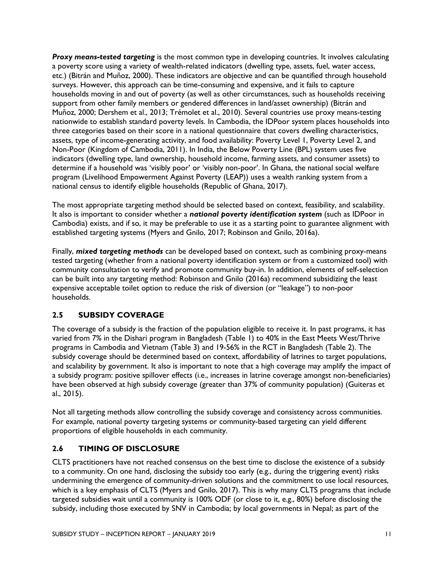*Proxy means-tested targeting* is the most common type in developing countries. It involves calculating a poverty score using a variety of wealth-related indicators (dwelling type, assets, fuel, water access, etc.) (Bitrán and Muñoz, 2000). These indicators are objective and can be quantified through household surveys. However, this approach can be time-consuming and expensive, and it fails to capture households moving in and out of poverty (as well as other circumstances, such as households receiving support from other family members or gendered differences in land/asset ownership) (Bitrán and Muñoz, 2000; Dershem et al., 2013; Trémolet et al., 2010). Several countries use proxy means-testing nationwide to establish standard poverty levels. In Cambodia, the IDPoor system places households into three categories based on their score in a national questionnaire that covers dwelling characteristics, assets, type of income-generating activity, and food availability: Poverty Level 1, Poverty Level 2, and Non-Poor (Kingdom of Cambodia, 2011). In India, the Below Poverty Line (BPL) system uses five indicators (dwelling type, land ownership, household income, farming assets, and consumer assets) to determine if a household was 'visibly poor' or 'visibly non-poor'. In Ghana, the national social welfare program (Livelihood Empowerment Against Poverty (LEAP)) uses a wealth ranking system from a national census to identify eligible households (Republic of Ghana, 2017).

The most appropriate targeting method should be selected based on context, feasibility, and scalability. It also is important to consider whether a *national poverty identification system* (such as IDPoor in Cambodia) exists, and if so, it may be preferable to use it as a starting point to guarantee alignment with established targeting systems (Myers and Gnilo, 2017; Robinson and Gnilo, 2016a).

Finally, *mixed targeting methods* can be developed based on context, such as combining proxy-means tested targeting (whether from a national poverty identification system or from a customized tool) with community consultation to verify and promote community buy-in. In addition, elements of self-selection can be built into any targeting method: Robinson and Gnilo (2016a) recommend subsidizing the least expensive acceptable toilet option to reduce the risk of diversion (or "leakage") to non-poor households.

#### **2.5 SUBSIDY COVERAGE**

The coverage of a subsidy is the fraction of the population eligible to receive it. In past programs, it has varied from 7% in the Dishari program in Bangladesh (Table 1) to 40% in the East Meets West/Thrive programs in Cambodia and Vietnam (Table 3) and 19-56% in the RCT in Bangladesh (Table 2). The subsidy coverage should be determined based on context, affordability of latrines to target populations, and scalability by government. It also is important to note that a high coverage may amplify the impact of a subsidy program: positive spillover effects (i.e., increases in latrine coverage amongst non-beneficiaries) have been observed at high subsidy coverage (greater than 37% of community population) (Guiteras et al., 2015).

Not all targeting methods allow controlling the subsidy coverage and consistency across communities. For example, national poverty targeting systems or community-based targeting can yield different proportions of eligible households in each community.

#### **2.6 TIMING OF DISCLOSURE**

CLTS practitioners have not reached consensus on the best time to disclose the existence of a subsidy to a community. On one hand, disclosing the subsidy too early (e.g., during the triggering event) risks undermining the emergence of community-driven solutions and the commitment to use local resources, which is a key emphasis of CLTS (Myers and Gnilo, 2017). This is why many CLTS programs that include targeted subsidies wait until a community is 100% ODF (or close to it, e.g., 80%) before disclosing the subsidy, including those executed by SNV in Cambodia; by local governments in Nepal; as part of the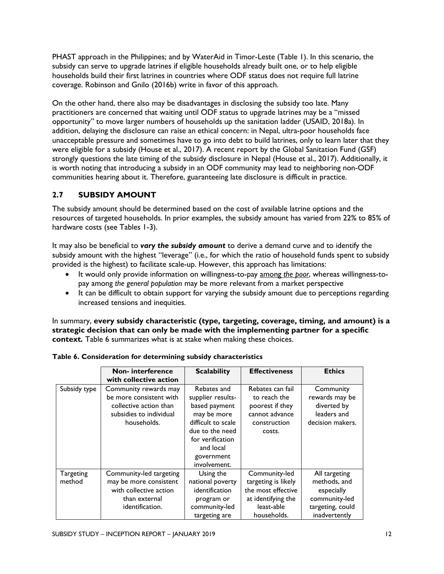PHAST approach in the Philippines; and by WaterAid in Timor-Leste (Table 1). In this scenario, the subsidy can serve to upgrade latrines if eligible households already built one, or to help eligible households build their first latrines in countries where ODF status does not require full latrine coverage. Robinson and Gnilo (2016b) write in favor of this approach.

On the other hand, there also may be disadvantages in disclosing the subsidy too late. Many practitioners are concerned that waiting until ODF status to upgrade latrines may be a "missed opportunity" to move larger numbers of households up the sanitation ladder (USAID, 2018a). In addition, delaying the disclosure can raise an ethical concern: in Nepal, ultra-poor households face unacceptable pressure and sometimes have to go into debt to build latrines, only to learn later that they were eligible for a subsidy (House et al., 2017). A recent report by the Global Sanitation Fund (GSF) strongly questions the late timing of the subsidy disclosure in Nepal (House et al., 2017). Additionally, it is worth noting that introducing a subsidy in an ODF community may lead to neighboring non-ODF communities hearing about it. Therefore, guaranteeing late disclosure is difficult in practice.

#### **2.7 SUBSIDY AMOUNT**

The subsidy amount should be determined based on the cost of available latrine options and the resources of targeted households. In prior examples, the subsidy amount has varied from 22% to 85% of hardware costs (see Tables 1-3).

It may also be beneficial to *vary the subsidy amount* to derive a demand curve and to identify the subsidy amount with the highest "leverage" (i.e., for which the ratio of household funds spent to subsidy provided is the highest) to facilitate scale-up. However, this approach has limitations:

- It would only provide information on willingness-to-pay among *the poor*, whereas willingness-topay among *the general population* may be more relevant from a market perspective
- It can be difficult to obtain support for varying the subsidy amount due to perceptions regarding increased tensions and inequities.

In summary, **every subsidy characteristic (type, targeting, coverage, timing, and amount) is a strategic decision that can only be made with the implementing partner for a specific context***.* Table 6 summarizes what is at stake when making these choices.

|                     | <b>Non-interference</b><br>with collective action                                                                    | <b>Scalability</b>                                                                                                                                                       | <b>Effectiveness</b>                                                                                          | <b>Ethics</b>                                                                                     |
|---------------------|----------------------------------------------------------------------------------------------------------------------|--------------------------------------------------------------------------------------------------------------------------------------------------------------------------|---------------------------------------------------------------------------------------------------------------|---------------------------------------------------------------------------------------------------|
| Subsidy type        | Community rewards may<br>be more consistent with<br>collective action than<br>subsidies to individual<br>households. | Rebates and<br>supplier results-<br>based payment<br>may be more<br>difficult to scale<br>due to the need<br>for verification<br>and local<br>government<br>involvement. | Rebates can fail<br>to reach the<br>poorest if they<br>cannot advance<br>construction<br>costs.               | Community<br>rewards may be<br>diverted by<br>leaders and<br>decision makers.                     |
| Targeting<br>method | Community-led targeting<br>may be more consistent<br>with collective action<br>than external<br>identification.      | Using the<br>national poverty<br>identification<br>program or<br>community-led<br>targeting are                                                                          | Community-led<br>targeting is likely<br>the most effective<br>at identifying the<br>least-able<br>households. | All targeting<br>methods, and<br>especially<br>community-led<br>targeting, could<br>inadvertently |

| Table 6. Consideration for determining subsidy characteristics |
|----------------------------------------------------------------|
|----------------------------------------------------------------|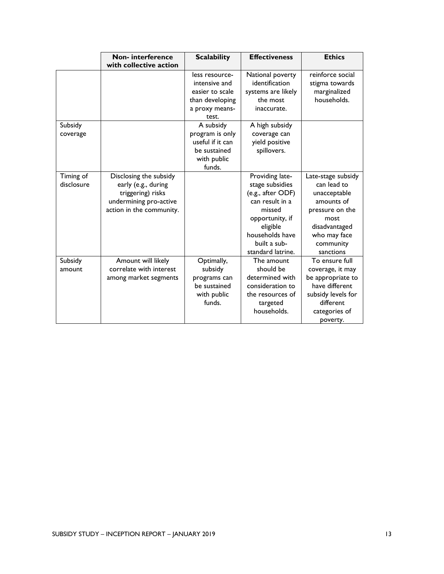|            | <b>Non-interference</b>  | <b>Scalability</b> | <b>Effectiveness</b> | <b>Ethics</b>      |
|------------|--------------------------|--------------------|----------------------|--------------------|
|            | with collective action   |                    |                      |                    |
|            |                          | less resource-     | National poverty     | reinforce social   |
|            |                          | intensive and      | identification       | stigma towards     |
|            |                          | easier to scale    | systems are likely   | marginalized       |
|            |                          | than developing    | the most             | households.        |
|            |                          | a proxy means-     | inaccurate.          |                    |
|            |                          | test.              |                      |                    |
| Subsidy    |                          | A subsidy          | A high subsidy       |                    |
| coverage   |                          | program is only    | coverage can         |                    |
|            |                          | useful if it can   | yield positive       |                    |
|            |                          | be sustained       | spillovers.          |                    |
|            |                          | with public        |                      |                    |
|            |                          | funds.             |                      |                    |
| Timing of  | Disclosing the subsidy   |                    | Providing late-      | Late-stage subsidy |
| disclosure | early (e.g., during      |                    | stage subsidies      | can lead to        |
|            | triggering) risks        |                    | (e.g., after ODF)    | unacceptable       |
|            | undermining pro-active   |                    | can result in a      | amounts of         |
|            | action in the community. |                    | missed               | pressure on the    |
|            |                          |                    | opportunity, if      | most               |
|            |                          |                    | eligible             | disadvantaged      |
|            |                          |                    | households have      | who may face       |
|            |                          |                    | built a sub-         | community          |
|            |                          |                    | standard latrine.    | sanctions          |
| Subsidy    | Amount will likely       | Optimally,         | The amount           | To ensure full     |
| amount     | correlate with interest  | subsidy            | should be            | coverage, it may   |
|            | among market segments    | programs can       | determined with      | be appropriate to  |
|            |                          | be sustained       | consideration to     | have different     |
|            |                          | with public        | the resources of     | subsidy levels for |
|            |                          | funds.             | targeted             | different          |
|            |                          |                    | households.          | categories of      |
|            |                          |                    |                      | poverty.           |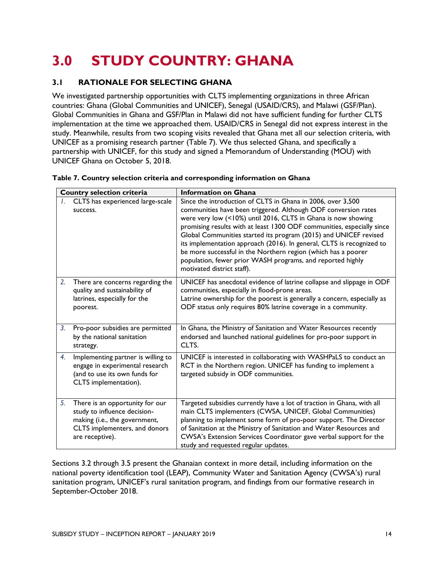## **3.0 STUDY COUNTRY: GHANA**

#### **3.1 RATIONALE FOR SELECTING GHANA**

We investigated partnership opportunities with CLTS implementing organizations in three African countries: Ghana (Global Communities and UNICEF), Senegal (USAID/CRS), and Malawi (GSF/Plan). Global Communities in Ghana and GSF/Plan in Malawi did not have sufficient funding for further CLTS implementation at the time we approached them. USAID/CRS in Senegal did not express interest in the study. Meanwhile, results from two scoping visits revealed that Ghana met all our selection criteria, with UNICEF as a promising research partner (Table 7). We thus selected Ghana, and specifically a partnership with UNICEF, for this study and signed a Memorandum of Understanding (MOU) with UNICEF Ghana on October 5, 2018.

|    | <b>Country selection criteria</b>                                                                                                                    | <b>Information on Ghana</b>                                                                                                                                                                                                                                                                                                                                                                                                                                                                                                                                                        |
|----|------------------------------------------------------------------------------------------------------------------------------------------------------|------------------------------------------------------------------------------------------------------------------------------------------------------------------------------------------------------------------------------------------------------------------------------------------------------------------------------------------------------------------------------------------------------------------------------------------------------------------------------------------------------------------------------------------------------------------------------------|
|    | CLTS has experienced large-scale<br>success.                                                                                                         | Since the introduction of CLTS in Ghana in 2006, over 3,500<br>communities have been triggered. Although ODF conversion rates<br>were very low (<10%) until 2016, CLTS in Ghana is now showing<br>promising results with at least 1300 ODF communities, especially since<br>Global Communities started its program (2015) and UNICEF revised<br>its implementation approach (2016). In general, CLTS is recognized to<br>be more successful in the Northern region (which has a poorer<br>population, fewer prior WASH programs, and reported highly<br>motivated district staff). |
| 2. | There are concerns regarding the<br>quality and sustainability of<br>latrines, especially for the<br>poorest.                                        | UNICEF has anecdotal evidence of latrine collapse and slippage in ODF<br>communities, especially in flood-prone areas.<br>Latrine ownership for the poorest is generally a concern, especially as<br>ODF status only requires 80% latrine coverage in a community.                                                                                                                                                                                                                                                                                                                 |
| 3. | Pro-poor subsidies are permitted<br>by the national sanitation<br>strategy.                                                                          | In Ghana, the Ministry of Sanitation and Water Resources recently<br>endorsed and launched national guidelines for pro-poor support in<br>CLTS.                                                                                                                                                                                                                                                                                                                                                                                                                                    |
| 4. | Implementing partner is willing to<br>engage in experimental research<br>(and to use its own funds for<br>CLTS implementation).                      | UNICEF is interested in collaborating with WASHPaLS to conduct an<br>RCT in the Northern region. UNICEF has funding to implement a<br>targeted subsidy in ODF communities.                                                                                                                                                                                                                                                                                                                                                                                                         |
| 5. | There is an opportunity for our<br>study to influence decision-<br>making (i.e., the government,<br>CLTS implementers, and donors<br>are receptive). | Targeted subsidies currently have a lot of traction in Ghana, with all<br>main CLTS implementers (CWSA, UNICEF, Global Communities)<br>planning to implement some form of pro-poor support. The Director<br>of Sanitation at the Ministry of Sanitation and Water Resources and<br>CWSA's Extension Services Coordinator gave verbal support for the<br>study and requested regular updates.                                                                                                                                                                                       |

#### **Table 7. Country selection criteria and corresponding information on Ghana**

Sections 3.2 through 3.5 present the Ghanaian context in more detail, including information on the national poverty identification tool (LEAP), Community Water and Sanitation Agency (CWSA's) rural sanitation program, UNICEF's rural sanitation program, and findings from our formative research in September-October 2018.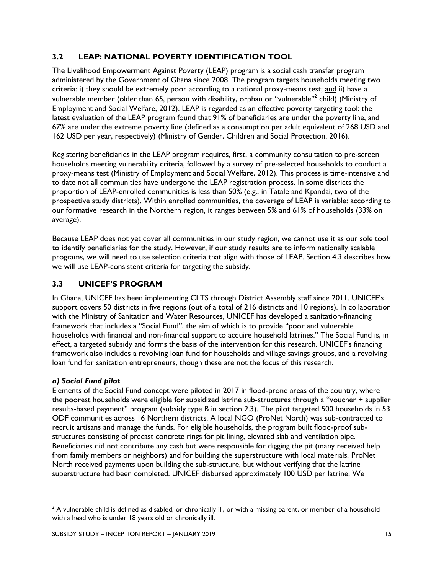#### **3.2 LEAP: NATIONAL POVERTY IDENTIFICATION TOOL**

The Livelihood Empowerment Against Poverty (LEAP) program is a social cash transfer program administered by the Government of Ghana since 2008. The program targets households meeting two criteria: i) they should be extremely poor according to a national proxy-means test; and ii) have a vulnerable member (older than 65, person with disability, orphan or "vulnerable" child) (Ministry of Employment and Social Welfare, 2012). LEAP is regarded as an effective poverty targeting tool: the latest evaluation of the LEAP program found that 91% of beneficiaries are under the poverty line, and 67% are under the extreme poverty line (defined as a consumption per adult equivalent of 268 USD and 162 USD per year, respectively) (Ministry of Gender, Children and Social Protection, 2016).

Registering beneficiaries in the LEAP program requires, first, a community consultation to pre-screen households meeting vulnerability criteria, followed by a survey of pre-selected households to conduct a proxy-means test (Ministry of Employment and Social Welfare, 2012). This process is time-intensive and to date not all communities have undergone the LEAP registration process. In some districts the proportion of LEAP-enrolled communities is less than 50% (e.g., in Tatale and Kpandai, two of the prospective study districts). Within enrolled communities, the coverage of LEAP is variable: according to our formative research in the Northern region, it ranges between 5% and 61% of households (33% on average).

Because LEAP does not yet cover all communities in our study region, we cannot use it as our sole tool to identify beneficiaries for the study. However, if our study results are to inform nationally scalable programs, we will need to use selection criteria that align with those of LEAP. Section 4.3 describes how we will use LEAP-consistent criteria for targeting the subsidy.

#### **3.3 UNICEF'S PROGRAM**

In Ghana, UNICEF has been implementing CLTS through District Assembly staff since 2011. UNICEF's support covers 50 districts in five regions (out of a total of 216 districts and 10 regions). In collaboration with the Ministry of Sanitation and Water Resources, UNICEF has developed a sanitation-financing framework that includes a "Social Fund", the aim of which is to provide "poor and vulnerable households with financial and non-financial support to acquire household latrines." The Social Fund is, in effect, a targeted subsidy and forms the basis of the intervention for this research. UNICEF's financing framework also includes a revolving loan fund for households and village savings groups, and a revolving loan fund for sanitation entrepreneurs, though these are not the focus of this research.

#### *a) Social Fund pilot*

 $\overline{a}$ 

Elements of the Social Fund concept were piloted in 2017 in flood-prone areas of the country, where the poorest households were eligible for subsidized latrine sub-structures through a "voucher + supplier results-based payment" program (subsidy type B in section 2.3). The pilot targeted 500 households in 53 ODF communities across 16 Northern districts. A local NGO (ProNet North) was sub-contracted to recruit artisans and manage the funds. For eligible households, the program built flood-proof substructures consisting of precast concrete rings for pit lining, elevated slab and ventilation pipe. Beneficiaries did not contribute any cash but were responsible for digging the pit (many received help from family members or neighbors) and for building the superstructure with local materials. ProNet North received payments upon building the sub-structure, but without verifying that the latrine superstructure had been completed. UNICEF disbursed approximately 100 USD per latrine. We

 $2$  A vulnerable child is defined as disabled, or chronically ill, or with a missing parent, or member of a household with a head who is under 18 years old or chronically ill.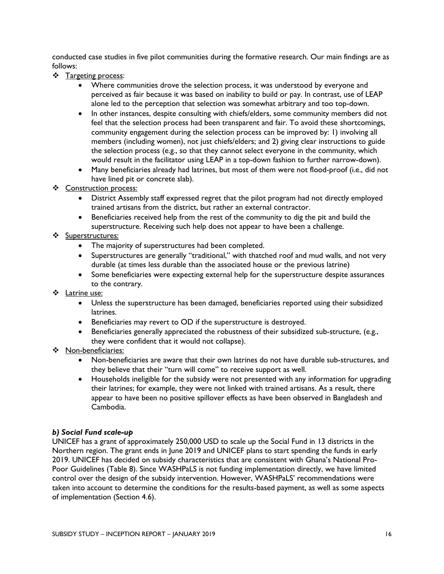conducted case studies in five pilot communities during the formative research. Our main findings are as follows:

- ❖ Targeting process:
	- Where communities drove the selection process, it was understood by everyone and perceived as fair because it was based on inability to build or pay. In contrast, use of LEAP alone led to the perception that selection was somewhat arbitrary and too top-down.
	- In other instances, despite consulting with chiefs/elders, some community members did not feel that the selection process had been transparent and fair. To avoid these shortcomings, community engagement during the selection process can be improved by: 1) involving all members (including women), not just chiefs/elders; and 2) giving clear instructions to guide the selection process (e.g., so that they cannot select everyone in the community, which would result in the facilitator using LEAP in a top-down fashion to further narrow-down).
	- Many beneficiaries already had latrines, but most of them were not flood-proof (i.e., did not have lined pit or concrete slab).
- ❖ Construction process:
	- District Assembly staff expressed regret that the pilot program had not directly employed trained artisans from the district, but rather an external contractor.
	- Beneficiaries received help from the rest of the community to dig the pit and build the superstructure. Receiving such help does not appear to have been a challenge.
- ❖ Superstructures:
	- The majority of superstructures had been completed.
	- Superstructures are generally "traditional," with thatched roof and mud walls, and not very durable (at times less durable than the associated house or the previous latrine)
	- Some beneficiaries were expecting external help for the superstructure despite assurances to the contrary.
- ❖ Latrine use:
	- Unless the superstructure has been damaged, beneficiaries reported using their subsidized latrines.
	- Beneficiaries may revert to OD if the superstructure is destroyed.
	- Beneficiaries generally appreciated the robustness of their subsidized sub-structure, (e.g., they were confident that it would not collapse).
- ❖ Non-beneficiaries:
	- Non-beneficiaries are aware that their own latrines do not have durable sub-structures, and they believe that their "turn will come" to receive support as well.
	- Households ineligible for the subsidy were not presented with any information for upgrading their latrines; for example, they were not linked with trained artisans. As a result, there appear to have been no positive spillover effects as have been observed in Bangladesh and Cambodia.

#### *b) Social Fund scale-up*

UNICEF has a grant of approximately 250,000 USD to scale up the Social Fund in 13 districts in the Northern region. The grant ends in June 2019 and UNICEF plans to start spending the funds in early 2019. UNICEF has decided on subsidy characteristics that are consistent with Ghana's National Pro-Poor Guidelines (Table 8). Since WASHPaLS is not funding implementation directly, we have limited control over the design of the subsidy intervention. However, WASHPaLS' recommendations were taken into account to determine the conditions for the results-based payment, as well as some aspects of implementation (Section 4.6).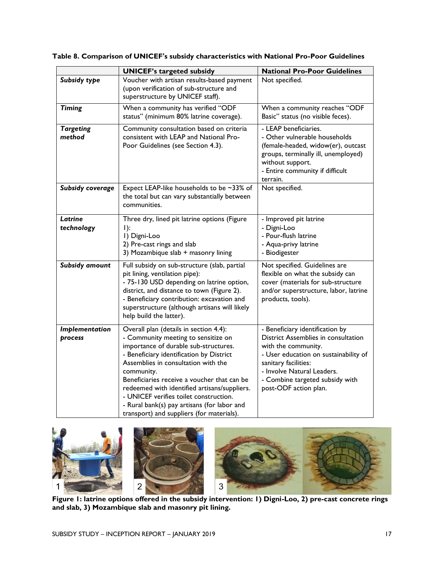|                            | <b>UNICEF's targeted subsidy</b>                                                                                                                                                                                                                                                                                                                                                                                                                             | <b>National Pro-Poor Guidelines</b>                                                                                                                                                                                                                      |
|----------------------------|--------------------------------------------------------------------------------------------------------------------------------------------------------------------------------------------------------------------------------------------------------------------------------------------------------------------------------------------------------------------------------------------------------------------------------------------------------------|----------------------------------------------------------------------------------------------------------------------------------------------------------------------------------------------------------------------------------------------------------|
| Subsidy type               | Voucher with artisan results-based payment<br>(upon verification of sub-structure and<br>superstructure by UNICEF staff).                                                                                                                                                                                                                                                                                                                                    | Not specified.                                                                                                                                                                                                                                           |
| <b>Timing</b>              | When a community has verified "ODF<br>status" (minimum 80% latrine coverage).                                                                                                                                                                                                                                                                                                                                                                                | When a community reaches "ODF<br>Basic" status (no visible feces).                                                                                                                                                                                       |
| <b>Targeting</b><br>method | Community consultation based on criteria<br>consistent with LEAP and National Pro-<br>Poor Guidelines (see Section 4.3).                                                                                                                                                                                                                                                                                                                                     | - LEAP beneficiaries.<br>- Other vulnerable households<br>(female-headed, widow(er), outcast<br>groups, terminally ill, unemployed)<br>without support.<br>- Entire community if difficult<br>terrain.                                                   |
| Subsidy coverage           | Expect LEAP-like households to be ~33% of<br>the total but can vary substantially between<br>communities.                                                                                                                                                                                                                                                                                                                                                    | Not specified.                                                                                                                                                                                                                                           |
| Latrine<br>technology      | Three dry, lined pit latrine options (Figure<br>$  \cdot  $<br>I) Digni-Loo<br>2) Pre-cast rings and slab<br>3) Mozambique slab + masonry lining                                                                                                                                                                                                                                                                                                             | - Improved pit latrine<br>- Digni-Loo<br>- Pour-flush latrine<br>- Aqua-privy latrine<br>- Biodigester                                                                                                                                                   |
| Subsidy amount             | Full subsidy on sub-structure (slab, partial<br>pit lining, ventilation pipe):<br>- 75-130 USD depending on latrine option,<br>district, and distance to town (Figure 2).<br>- Beneficiary contribution: excavation and<br>superstructure (although artisans will likely<br>help build the latter).                                                                                                                                                          | Not specified. Guidelines are<br>flexible on what the subsidy can<br>cover (materials for sub-structure<br>and/or superstructure, labor, latrine<br>products, tools).                                                                                    |
| Implementation<br>process  | Overall plan (details in section 4.4):<br>- Community meeting to sensitize on<br>importance of durable sub-structures.<br>- Beneficiary identification by District<br>Assemblies in consultation with the<br>community.<br>Beneficiaries receive a voucher that can be<br>redeemed with identified artisans/suppliers.<br>- UNICEF verifies toilet construction.<br>- Rural bank(s) pay artisans (for labor and<br>transport) and suppliers (for materials). | - Beneficiary identification by<br>District Assemblies in consultation<br>with the community.<br>- User education on sustainability of<br>sanitary facilities:<br>- Involve Natural Leaders.<br>- Combine targeted subsidy with<br>post-ODF action plan. |

**Table 8. Comparison of UNICEF's subsidy characteristics with National Pro-Poor Guidelines**



**Figure 1: latrine options offered in the subsidy intervention: 1) Digni-Loo, 2) pre-cast concrete rings and slab, 3) Mozambique slab and masonry pit lining.**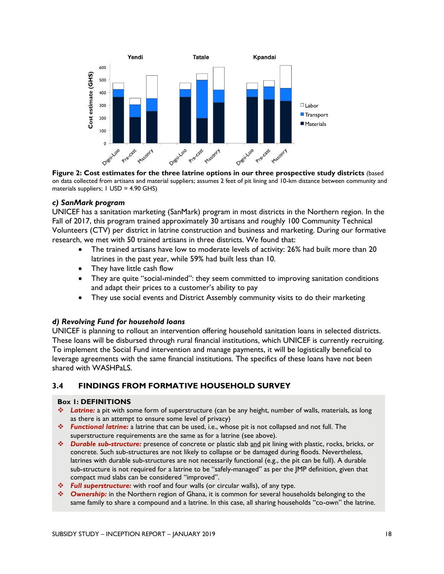

on data collected from artisans and material suppliers; assumes 2 feet of pit lining and 10-km distance between community and materials suppliers; 1 USD = 4.90 GHS)

#### *c) SanMark program*

UNICEF has a sanitation marketing (SanMark) program in most districts in the Northern region. In the Fall of 2017, this program trained approximately 30 artisans and roughly 100 Community Technical Volunteers (CTV) per district in latrine construction and business and marketing. During our formative research, we met with 50 trained artisans in three districts. We found that:

- The trained artisans have low to moderate levels of activity: 26% had built more than 20 latrines in the past year, while 59% had built less than 10.
- They have little cash flow
- They are quite "social-minded": they seem committed to improving sanitation conditions and adapt their prices to a customer's ability to pay
- They use social events and District Assembly community visits to do their marketing

#### *d) Revolving Fund for household loans*

UNICEF is planning to rollout an intervention offering household sanitation loans in selected districts. These loans will be disbursed through rural financial institutions, which UNICEF is currently recruiting. To implement the Social Fund intervention and manage payments, it will be logistically beneficial to leverage agreements with the same financial institutions. The specifics of these loans have not been shared with WASHPaLS.

#### **3.4 FINDINGS FROM FORMATIVE HOUSEHOLD SURVEY**

#### **Box 1: DEFINITIONS**

- ❖ *Latrine:* a pit with some form of superstructure (can be any height, number of walls, materials, as long as there is an attempt to ensure some level of privacy)
- ❖ *Functional latrine:* a latrine that can be used, i.e., whose pit is not collapsed and not full. The superstructure requirements are the same as for a latrine (see above).
- ❖ *Durable sub-structure:* presence of concrete or plastic slab and pit lining with plastic, rocks, bricks, or concrete. Such sub-structures are not likely to collapse or be damaged during floods. Nevertheless, latrines with durable sub-structures are not necessarily functional (e.g., the pit can be full). A durable sub-structure is not required for a latrine to be "safely-managed" as per the JMP definition, given that compact mud slabs can be considered "improved".
- ❖ *Full superstructure:* with roof and four walls (or circular walls), of any type.
- ❖ *Ownership:* in the Northern region of Ghana, it is common for several households belonging to the same family to share a compound and a latrine. In this case, all sharing households "co-own" the latrine.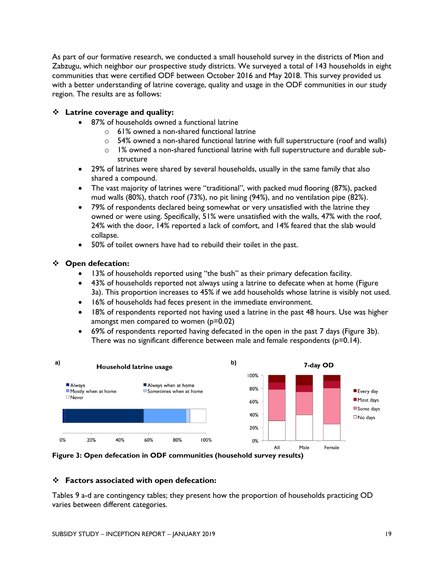As part of our formative research, we conducted a small household survey in the districts of Mion and Zabzugu, which neighbor our prospective study districts. We surveyed a total of 143 households in eight communities that were certified ODF between October 2016 and May 2018. This survey provided us with a better understanding of latrine coverage, quality and usage in the ODF communities in our study region. The results are as follows:

#### ❖ **Latrine coverage and quality:**

- 87% of households owned a functional latrine
	- o 61% owned a non-shared functional latrine
	- $\circ$  54% owned a non-shared functional latrine with full superstructure (roof and walls)
	- $\circ$  1% owned a non-shared functional latrine with full superstructure and durable substructure
- 29% of latrines were shared by several households, usually in the same family that also shared a compound.
- The vast majority of latrines were "traditional", with packed mud flooring (87%), packed mud walls (80%), thatch roof (73%), no pit lining (94%), and no ventilation pipe (82%).
- 79% of respondents declared being somewhat or very unsatisfied with the latrine they owned or were using. Specifically, 51% were unsatisfied with the walls, 47% with the roof, 24% with the door, 14% reported a lack of comfort, and 14% feared that the slab would collapse.
- 50% of toilet owners have had to rebuild their toilet in the past.

#### ❖ **Open defecation:**

- 13% of households reported using "the bush" as their primary defecation facility.
- 43% of households reported not always using a latrine to defecate when at home (Figure 3a). This proportion increases to 45% if we add households whose latrine is visibly not used.
- 16% of households had feces present in the immediate environment.
- 18% of respondents reported not having used a latrine in the past 48 hours. Use was higher amongst men compared to women (p=0.02)
- 69% of respondents reported having defecated in the open in the past 7 days (Figure 3b). There was no significant difference between male and female respondents  $(p=0.14)$ .



**Figure 3: Open defecation in ODF communities (household survey results)**

#### ❖ **Factors associated with open defecation:**

Tables 9 a-d are contingency tables; they present how the proportion of households practicing OD varies between different categories.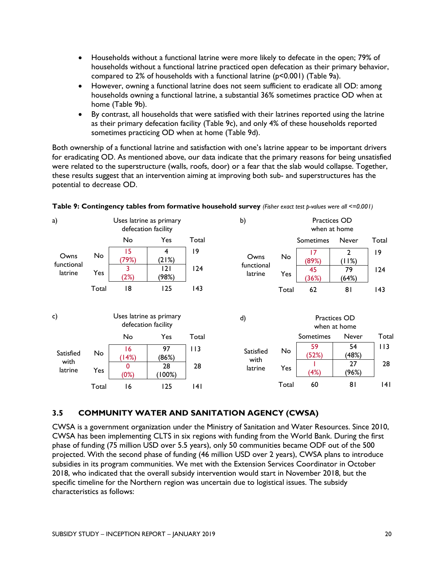- Households without a functional latrine were more likely to defecate in the open; 79% of households without a functional latrine practiced open defecation as their primary behavior, compared to 2% of households with a functional latrine (p<0.001) (Table 9a).
- However, owning a functional latrine does not seem sufficient to eradicate all OD: among households owning a functional latrine, a substantial 36% sometimes practice OD when at home (Table 9b).
- By contrast, all households that were satisfied with their latrines reported using the latrine as their primary defecation facility (Table 9c), and only 4% of these households reported sometimes practicing OD when at home (Table 9d).

Both ownership of a functional latrine and satisfaction with one's latrine appear to be important drivers for eradicating OD. As mentioned above, our data indicate that the primary reasons for being unsatisfied were related to the superstructure (walls, roofs, door) or a fear that the slab would collapse. Together, these results suggest that an intervention aiming at improving both sub- and superstructures has the potential to decrease OD.

| a)                    |       |                      | Uses latrine as primary<br>defecation facility |       | b)                    |       | Practices OD<br>when at home |                                     |             |
|-----------------------|-------|----------------------|------------------------------------------------|-------|-----------------------|-------|------------------------------|-------------------------------------|-------------|
|                       |       | No                   | Yes                                            | Total |                       |       | <b>Sometimes</b>             | Never                               | Total       |
| Owns                  | No    | 15<br>(79%)          | 4<br>(21%)                                     | 19    | Owns                  | No    | 17<br>(89%)                  | $\overline{2}$<br>(11%)             | $ 9\rangle$ |
| functional<br>latrine | Yes   | 3<br>(2%)            | 2 <br>(98%)                                    | 124   | functional<br>latrine | Yes   | 45<br>(36%)                  | 79<br>(64%)                         | 124         |
|                       | Total | 18                   | 125                                            | 143   |                       | Total | 62                           | 81                                  | 143         |
| c)                    |       |                      | Uses latrine as primary<br>defecation facility |       | d)                    |       |                              | <b>Practices OD</b><br>when at home |             |
|                       |       | No                   | Yes                                            | Total |                       |       | <b>Sometimes</b>             | Never                               | Total       |
| Satisfied             | No    | 16<br>(14%)          | 97<br>(86%)                                    | 113   | Satisfied<br>with     | No    | 59<br>(52%)                  | 54<br>(48%)                         | 113         |
| with<br>latrine       | Yes   | $\mathbf{0}$<br>(0%) | 28<br>$100\%)$                                 | 28    | latrine               | Yes   | (4%)                         | 27<br>(96%)                         | 28          |
|                       | Total | 16                   | 125                                            | 141   |                       | Total | 60                           | 81                                  | 141         |

#### **Table 9: Contingency tables from formative household survey** *(Fisher exact test p-values were all <=0.001)*

#### **3.5 COMMUNITY WATER AND SANITATION AGENCY (CWSA)**

CWSA is a government organization under the Ministry of Sanitation and Water Resources. Since 2010, CWSA has been implementing CLTS in six regions with funding from the World Bank. During the first phase of funding (75 million USD over 5.5 years), only 50 communities became ODF out of the 500 projected. With the second phase of funding (46 million USD over 2 years), CWSA plans to introduce subsidies in its program communities. We met with the Extension Services Coordinator in October 2018, who indicated that the overall subsidy intervention would start in November 2018, but the specific timeline for the Northern region was uncertain due to logistical issues. The subsidy characteristics as follows: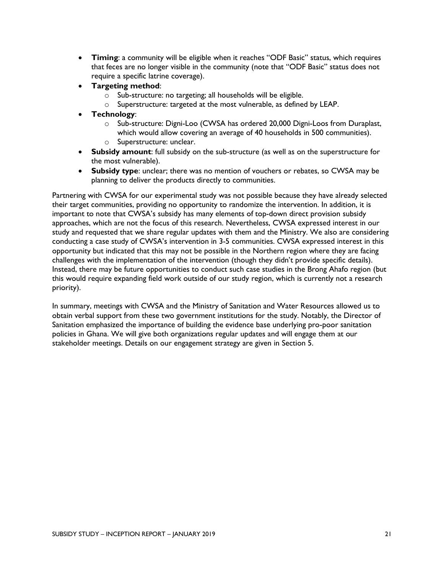- **Timing**: a community will be eligible when it reaches "ODF Basic" status, which requires that feces are no longer visible in the community (note that "ODF Basic" status does not require a specific latrine coverage).
- **Targeting method**:
	- o Sub-structure: no targeting; all households will be eligible.
	- o Superstructure: targeted at the most vulnerable, as defined by LEAP.
- **Technology**:
	- o Sub-structure: Digni-Loo (CWSA has ordered 20,000 Digni-Loos from Duraplast, which would allow covering an average of 40 households in 500 communities).
	- o Superstructure: unclear.
- **Subsidy amount**: full subsidy on the sub-structure (as well as on the superstructure for the most vulnerable).
- **Subsidy type**: unclear; there was no mention of vouchers or rebates, so CWSA may be planning to deliver the products directly to communities.

Partnering with CWSA for our experimental study was not possible because they have already selected their target communities, providing no opportunity to randomize the intervention. In addition, it is important to note that CWSA's subsidy has many elements of top-down direct provision subsidy approaches, which are not the focus of this research. Nevertheless, CWSA expressed interest in our study and requested that we share regular updates with them and the Ministry. We also are considering conducting a case study of CWSA's intervention in 3-5 communities. CWSA expressed interest in this opportunity but indicated that this may not be possible in the Northern region where they are facing challenges with the implementation of the intervention (though they didn't provide specific details). Instead, there may be future opportunities to conduct such case studies in the Brong Ahafo region (but this would require expanding field work outside of our study region, which is currently not a research priority).

In summary, meetings with CWSA and the Ministry of Sanitation and Water Resources allowed us to obtain verbal support from these two government institutions for the study. Notably, the Director of Sanitation emphasized the importance of building the evidence base underlying pro-poor sanitation policies in Ghana. We will give both organizations regular updates and will engage them at our stakeholder meetings. Details on our engagement strategy are given in Section 5.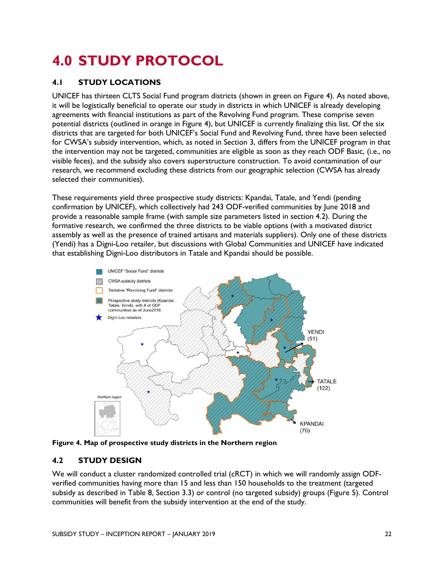## **4.0 STUDY PROTOCOL**

#### **4.1 STUDY LOCATIONS**

UNICEF has thirteen CLTS Social Fund program districts (shown in green on Figure 4). As noted above, it will be logistically beneficial to operate our study in districts in which UNICEF is already developing agreements with financial institutions as part of the Revolving Fund program. These comprise seven potential districts (outlined in orange in Figure 4), but UNICEF is currently finalizing this list. Of the six districts that are targeted for both UNICEF's Social Fund and Revolving Fund, three have been selected for CWSA's subsidy intervention, which, as noted in Section 3, differs from the UNICEF program in that the intervention may not be targeted, communities are eligible as soon as they reach ODF Basic, (i.e., no visible feces), and the subsidy also covers superstructure construction. To avoid contamination of our research, we recommend excluding these districts from our geographic selection (CWSA has already selected their communities).

These requirements yield three prospective study districts: Kpandai, Tatale, and Yendi (pending confirmation by UNICEF), which collectively had 243 ODF-verified communities by June 2018 and provide a reasonable sample frame (with sample size parameters listed in section 4.2). During the formative research, we confirmed the three districts to be viable options (with a motivated district assembly as well as the presence of trained artisans and materials suppliers). Only one of these districts (Yendi) has a Digni-Loo retailer, but discussions with Global Communities and UNICEF have indicated that establishing Digni-Loo distributors in Tatale and Kpandai should be possible.



**Figure 4. Map of prospective study districts in the Northern region**

#### **4.2 STUDY DESIGN**

We will conduct a cluster randomized controlled trial (cRCT) in which we will randomly assign ODFverified communities having more than 15 and less than 150 households to the treatment (targeted subsidy as described in Table 8, Section 3.3) or control (no targeted subsidy) groups (Figure 5). Control communities will benefit from the subsidy intervention at the end of the study.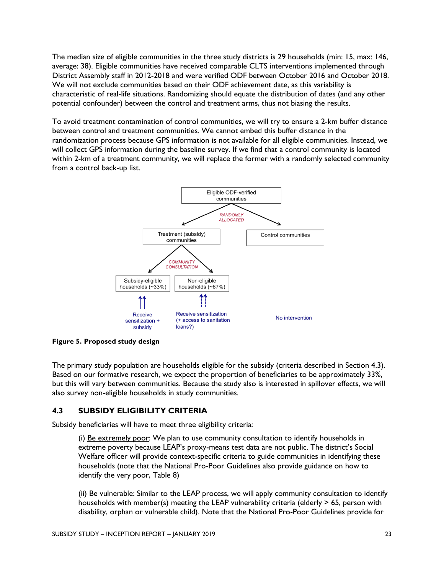The median size of eligible communities in the three study districts is 29 households (min: 15, max: 146, average: 38). Eligible communities have received comparable CLTS interventions implemented through District Assembly staff in 2012-2018 and were verified ODF between October 2016 and October 2018. We will not exclude communities based on their ODF achievement date, as this variability is characteristic of real-life situations. Randomizing should equate the distribution of dates (and any other potential confounder) between the control and treatment arms, thus not biasing the results.

To avoid treatment contamination of control communities, we will try to ensure a 2-km buffer distance between control and treatment communities. We cannot embed this buffer distance in the randomization process because GPS information is not available for all eligible communities. Instead, we will collect GPS information during the baseline survey. If we find that a control community is located within 2-km of a treatment community, we will replace the former with a randomly selected community from a control back-up list.



**Figure 5. Proposed study design** 

The primary study population are households eligible for the subsidy (criteria described in Section 4.3). Based on our formative research, we expect the proportion of beneficiaries to be approximately 33%, but this will vary between communities. Because the study also is interested in spillover effects, we will also survey non-eligible households in study communities.

#### **4.3 SUBSIDY ELIGIBILITY CRITERIA**

Subsidy beneficiaries will have to meet three eligibility criteria:

(i) Be extremely poor: We plan to use community consultation to identify households in extreme poverty because LEAP's proxy-means test data are not public. The district's Social Welfare officer will provide context-specific criteria to guide communities in identifying these households (note that the National Pro-Poor Guidelines also provide guidance on how to identify the very poor, Table 8)

(ii) Be vulnerable: Similar to the LEAP process, we will apply community consultation to identify households with member(s) meeting the LEAP vulnerability criteria (elderly > 65, person with disability, orphan or vulnerable child). Note that the National Pro-Poor Guidelines provide for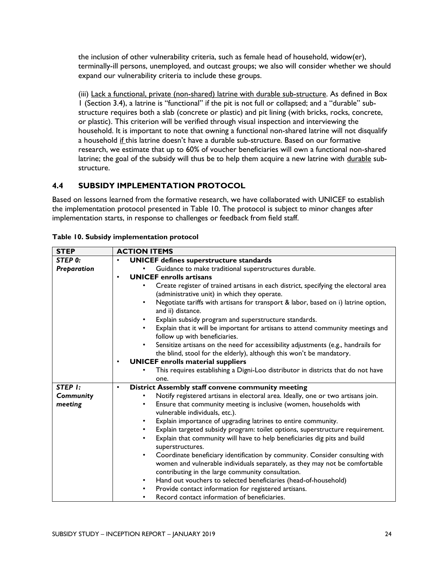the inclusion of other vulnerability criteria, such as female head of household, widow(er), terminally-ill persons, unemployed, and outcast groups; we also will consider whether we should expand our vulnerability criteria to include these groups.

(iii) Lack a functional, private (non-shared) latrine with durable sub-structure. As defined in Box 1 (Section 3.4), a latrine is "functional" if the pit is not full or collapsed; and a "durable" substructure requires both a slab (concrete or plastic) and pit lining (with bricks, rocks, concrete, or plastic). This criterion will be verified through visual inspection and interviewing the household. It is important to note that owning a functional non-shared latrine will not disqualify a household if this latrine doesn't have a durable sub-structure. Based on our formative research, we estimate that up to 60% of voucher beneficiaries will own a functional non-shared latrine; the goal of the subsidy will thus be to help them acquire a new latrine with durable substructure.

#### **4.4 SUBSIDY IMPLEMENTATION PROTOCOL**

Based on lessons learned from the formative research, we have collaborated with UNICEF to establish the implementation protocol presented in Table 10. The protocol is subject to minor changes after implementation starts, in response to challenges or feedback from field staff.

| <b>STEP</b>        | <b>ACTION ITEMS</b>                                                                                                                                                      |
|--------------------|--------------------------------------------------------------------------------------------------------------------------------------------------------------------------|
| STEP 0:            | <b>UNICEF</b> defines superstructure standards<br>$\bullet$                                                                                                              |
| <b>Preparation</b> | Guidance to make traditional superstructures durable.                                                                                                                    |
|                    | <b>UNICEF</b> enrolls artisans<br>$\bullet$                                                                                                                              |
|                    | Create register of trained artisans in each district, specifying the electoral area<br>(administrative unit) in which they operate.                                      |
|                    | Negotiate tariffs with artisans for transport & labor, based on i) latrine option,<br>$\bullet$<br>and ii) distance.                                                     |
|                    | Explain subsidy program and superstructure standards.<br>$\bullet$                                                                                                       |
|                    | Explain that it will be important for artisans to attend community meetings and<br>follow up with beneficiaries.                                                         |
|                    | Sensitize artisans on the need for accessibility adjustments (e.g., handrails for<br>$\bullet$                                                                           |
|                    | the blind, stool for the elderly), although this won't be mandatory.                                                                                                     |
|                    | <b>UNICEF</b> enrolls material suppliers<br>$\bullet$                                                                                                                    |
|                    | This requires establishing a Digni-Loo distributor in districts that do not have                                                                                         |
|                    | one.                                                                                                                                                                     |
| STEP I:            | District Assembly staff convene community meeting<br>$\bullet$                                                                                                           |
| Community          | Notify registered artisans in electoral area. Ideally, one or two artisans join.                                                                                         |
| meeting            | Ensure that community meeting is inclusive (women, households with<br>٠                                                                                                  |
|                    | vulnerable individuals, etc.).                                                                                                                                           |
|                    | Explain importance of upgrading latrines to entire community.<br>$\bullet$                                                                                               |
|                    | Explain targeted subsidy program: toilet options, superstructure requirement.<br>$\bullet$                                                                               |
|                    | Explain that community will have to help beneficiaries dig pits and build<br>$\bullet$<br>superstructures.                                                               |
|                    | Coordinate beneficiary identification by community. Consider consulting with<br>$\bullet$<br>women and vulnerable individuals separately, as they may not be comfortable |
|                    | contributing in the large community consultation.                                                                                                                        |
|                    | Hand out vouchers to selected beneficiaries (head-of-household)<br>٠                                                                                                     |
|                    | Provide contact information for registered artisans.<br>٠                                                                                                                |
|                    | Record contact information of beneficiaries.<br>$\bullet$                                                                                                                |

**Table 10. Subsidy implementation protocol**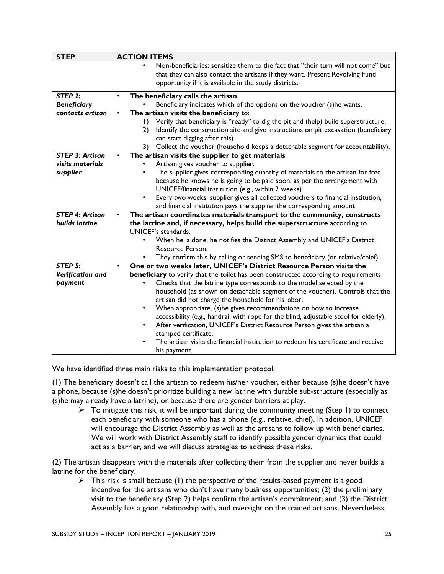| <b>STEP</b>            | <b>ACTION ITEMS</b>                                                                                 |
|------------------------|-----------------------------------------------------------------------------------------------------|
|                        | Non-beneficiaries: sensitize them to the fact that "their turn will not come" but                   |
|                        | that they can also contact the artisans if they want. Present Revolving Fund                        |
|                        | opportunity if it is available in the study districts.                                              |
| STEP 2:                | The beneficiary calls the artisan<br>$\bullet$                                                      |
| <b>Beneficiary</b>     | Beneficiary indicates which of the options on the voucher (s)he wants.                              |
| contacts artisan       | The artisan visits the beneficiary to:<br>$\bullet$                                                 |
|                        | Verify that beneficiary is "ready" to dig the pit and (help) build superstructure.<br>$\mathsf{I}$  |
|                        | Identify the construction site and give instructions on pit excavation (beneficiary<br>$\mathbf{2}$ |
|                        | can start digging after this).                                                                      |
|                        | 3)<br>Collect the voucher (household keeps a detachable segment for accountability).                |
| <b>STEP 3: Artisan</b> | The artisan visits the supplier to get materials<br>$\bullet$                                       |
| visits materials       | Artisan gives voucher to supplier.                                                                  |
| supplier               | The supplier gives corresponding quantity of materials to the artisan for free<br>٠                 |
|                        | because he knows he is going to be paid soon, as per the arrangement with                           |
|                        | UNICEF/financial institution (e.g., within 2 weeks).                                                |
|                        | Every two weeks, supplier gives all collected vouchers to financial institution,                    |
|                        | and financial institution pays the supplier the corresponding amount                                |
| <b>STEP 4: Artisan</b> | The artisan coordinates materials transport to the community, constructs<br>$\bullet$               |
| builds latrine         | the latrine and, if necessary, helps build the superstructure according to                          |
|                        | <b>UNICEF's standards.</b>                                                                          |
|                        | When he is done, he notifies the District Assembly and UNICEF's District                            |
|                        | Resource Person.                                                                                    |
|                        | They confirm this by calling or sending SMS to beneficiary (or relative/chief).                     |
| STEP 5:                | One or two weeks later, UNICEF's District Resource Person visits the<br>$\bullet$                   |
| Verification and       | beneficiary to verify that the toilet has been constructed according to requirements                |
| payment                | Checks that the latrine type corresponds to the model selected by the                               |
|                        | household (as shown on detachable segment of the voucher). Controls that the                        |
|                        | artisan did not charge the household for his labor.                                                 |
|                        | When appropriate, (s)he gives recommendations on how to increase<br>$\bullet$                       |
|                        | accessibility (e.g., handrail with rope for the blind, adjustable stool for elderly).               |
|                        | After verification, UNICEF's District Resource Person gives the artisan a<br>$\bullet$              |
|                        | stamped certificate.                                                                                |
|                        | The artisan visits the financial institution to redeem his certificate and receive                  |
|                        | his payment.                                                                                        |

We have identified three main risks to this implementation protocol:

(1) The beneficiary doesn't call the artisan to redeem his/her voucher, either because (s)he doesn't have a phone, because (s)he doesn't prioritize building a new latrine with durable sub-structure (especially as (s)he may already have a latrine), or because there are gender barriers at play.

 $\triangleright$  To mitigate this risk, it will be important during the community meeting (Step 1) to connect each beneficiary with someone who has a phone (e.g., relative, chief). In addition, UNICEF will encourage the District Assembly as well as the artisans to follow up with beneficiaries. We will work with District Assembly staff to identify possible gender dynamics that could act as a barrier, and we will discuss strategies to address these risks.

(2) The artisan disappears with the materials after collecting them from the supplier and never builds a latrine for the beneficiary.

 $\triangleright$  This risk is small because (1) the perspective of the results-based payment is a good incentive for the artisans who don't have many business opportunities; (2) the preliminary visit to the beneficiary (Step 2) helps confirm the artisan's commitment; and (3) the District Assembly has a good relationship with, and oversight on the trained artisans. Nevertheless,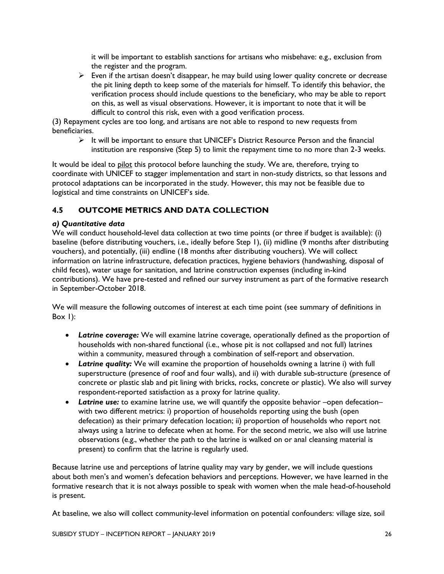it will be important to establish sanctions for artisans who misbehave: e.g., exclusion from the register and the program.

 $\triangleright$  Even if the artisan doesn't disappear, he may build using lower quality concrete or decrease the pit lining depth to keep some of the materials for himself. To identify this behavior, the verification process should include questions to the beneficiary, who may be able to report on this, as well as visual observations. However, it is important to note that it will be difficult to control this risk, even with a good verification process.

(3) Repayment cycles are too long, and artisans are not able to respond to new requests from beneficiaries.

 $\triangleright$  It will be important to ensure that UNICEF's District Resource Person and the financial institution are responsive (Step 5) to limit the repayment time to no more than 2-3 weeks.

It would be ideal to pilot this protocol before launching the study. We are, therefore, trying to coordinate with UNICEF to stagger implementation and start in non-study districts, so that lessons and protocol adaptations can be incorporated in the study. However, this may not be feasible due to logistical and time constraints on UNICEF's side.

#### **4.5 OUTCOME METRICS AND DATA COLLECTION**

#### *a) Quantitative data*

We will conduct household-level data collection at two time points (or three if budget is available): (i) baseline (before distributing vouchers, i.e., ideally before Step 1), (ii) midline (9 months after distributing vouchers), and potentially, (iii) endline (18 months after distributing vouchers). We will collect information on latrine infrastructure, defecation practices, hygiene behaviors (handwashing, disposal of child feces), water usage for sanitation, and latrine construction expenses (including in-kind contributions). We have pre-tested and refined our survey instrument as part of the formative research in September-October 2018.

We will measure the following outcomes of interest at each time point (see summary of definitions in Box  $I$ ):

- *Latrine coverage:* We will examine latrine coverage, operationally defined as the proportion of households with non-shared functional (i.e., whose pit is not collapsed and not full) latrines within a community, measured through a combination of self-report and observation.
- *Latrine quality:* We will examine the proportion of households owning a latrine i) with full superstructure (presence of roof and four walls), and ii) with durable sub-structure (presence of concrete or plastic slab and pit lining with bricks, rocks, concrete or plastic). We also will survey respondent-reported satisfaction as a proxy for latrine quality.
- *Latrine use:* to examine latrine use, we will quantify the opposite behavior –open defecation– with two different metrics: i) proportion of households reporting using the bush (open defecation) as their primary defecation location; ii) proportion of households who report not always using a latrine to defecate when at home. For the second metric, we also will use latrine observations (e.g., whether the path to the latrine is walked on or anal cleansing material is present) to confirm that the latrine is regularly used.

Because latrine use and perceptions of latrine quality may vary by gender, we will include questions about both men's and women's defecation behaviors and perceptions. However, we have learned in the formative research that it is not always possible to speak with women when the male head-of-household is present.

At baseline, we also will collect community-level information on potential confounders: village size, soil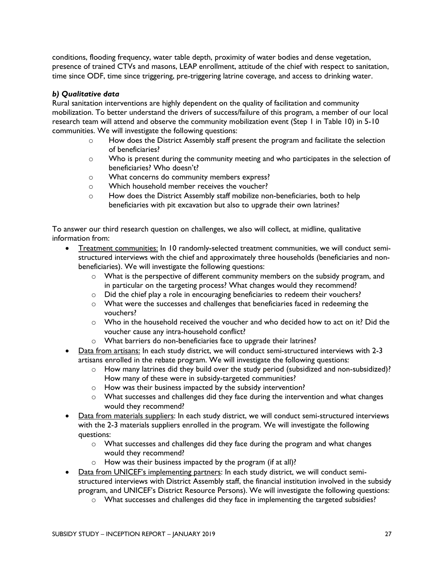conditions, flooding frequency, water table depth, proximity of water bodies and dense vegetation, presence of trained CTVs and masons, LEAP enrollment, attitude of the chief with respect to sanitation, time since ODF, time since triggering, pre-triggering latrine coverage, and access to drinking water.

#### *b) Qualitative data*

Rural sanitation interventions are highly dependent on the quality of facilitation and community mobilization. To better understand the drivers of success/failure of this program, a member of our local research team will attend and observe the community mobilization event (Step 1 in Table 10) in 5-10 communities. We will investigate the following questions:

- o How does the District Assembly staff present the program and facilitate the selection of beneficiaries?
- o Who is present during the community meeting and who participates in the selection of beneficiaries? Who doesn't?
- o What concerns do community members express?
- o Which household member receives the voucher?
- o How does the District Assembly staff mobilize non-beneficiaries, both to help beneficiaries with pit excavation but also to upgrade their own latrines?

To answer our third research question on challenges, we also will collect, at midline, qualitative information from:

- Treatment communities: In 10 randomly-selected treatment communities, we will conduct semistructured interviews with the chief and approximately three households (beneficiaries and nonbeneficiaries). We will investigate the following questions:
	- o What is the perspective of different community members on the subsidy program, and in particular on the targeting process? What changes would they recommend?
	- o Did the chief play a role in encouraging beneficiaries to redeem their vouchers?
	- $\circ$  What were the successes and challenges that beneficiaries faced in redeeming the vouchers?
	- $\circ$  Who in the household received the voucher and who decided how to act on it? Did the voucher cause any intra-household conflict?
	- o What barriers do non-beneficiaries face to upgrade their latrines?
- Data from artisans: In each study district, we will conduct semi-structured interviews with 2-3 artisans enrolled in the rebate program. We will investigate the following questions:
	- $\circ$  How many latrines did they build over the study period (subsidized and non-subsidized)? How many of these were in subsidy-targeted communities?
	- o How was their business impacted by the subsidy intervention?
	- o What successes and challenges did they face during the intervention and what changes would they recommend?
- Data from materials suppliers: In each study district, we will conduct semi-structured interviews with the 2-3 materials suppliers enrolled in the program. We will investigate the following questions:
	- $\circ$  What successes and challenges did they face during the program and what changes would they recommend?
	- $\circ$  How was their business impacted by the program (if at all)?
- Data from UNICEF's implementing partners: In each study district, we will conduct semistructured interviews with District Assembly staff, the financial institution involved in the subsidy program, and UNICEF's District Resource Persons). We will investigate the following questions:
	- o What successes and challenges did they face in implementing the targeted subsidies?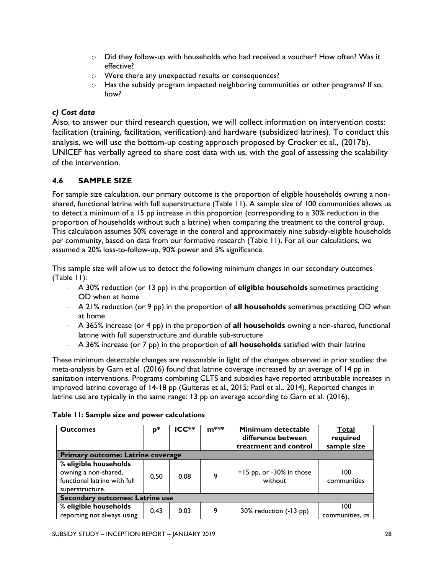- $\circ$  Did they follow-up with households who had received a voucher? How often? Was it effective?
- o Were there any unexpected results or consequences?
- $\circ$  Has the subsidy program impacted neighboring communities or other programs? If so, how?

#### *c) Cost data*

Also, to answer our third research question, we will collect information on intervention costs: facilitation (training, facilitation, verification) and hardware (subsidized latrines). To conduct this analysis, we will use the bottom-up costing approach proposed by Crocker et al., (2017b). UNICEF has verbally agreed to share cost data with us, with the goal of assessing the scalability of the intervention.

#### **4.6 SAMPLE SIZE**

For sample size calculation, our primary outcome is the proportion of eligible households owning a nonshared, functional latrine with full superstructure (Table 11). A sample size of 100 communities allows us to detect a minimum of a 15 pp increase in this proportion (corresponding to a 30% reduction in the proportion of households without such a latrine) when comparing the treatment to the control group. This calculation assumes 50% coverage in the control and approximately nine subsidy-eligible households per community, based on data from our formative research (Table 11). For all our calculations, we assumed a 20% loss-to-follow-up, 90% power and 5% significance.

This sample size will allow us to detect the following minimum changes in our secondary outcomes (Table 11):

- − A 30% reduction (or 13 pp) in the proportion of **eligible households** sometimes practicing OD when at home
- − A 21% reduction (or 9 pp) in the proportion of **all households** sometimes practicing OD when at home
- − A 365% increase (or 4 pp) in the proportion of **all households** owning a non-shared, functional latrine with full superstructure and durable sub-structure
- − A 36% increase (or 7 pp) in the proportion of **all households** satisfied with their latrine

These minimum detectable changes are reasonable in light of the changes observed in prior studies: the meta-analysis by Garn et al. (2016) found that latrine coverage increased by an average of 14 pp in sanitation interventions. Programs combining CLTS and subsidies have reported attributable increases in improved latrine coverage of 14-18 pp (Guiteras et al., 2015; Patil et al., 2014). Reported changes in latrine use are typically in the same range: 13 pp on average according to Garn et al. (2016).

|  |  |  |  |  |  | Table 11: Sample size and power calculations |
|--|--|--|--|--|--|----------------------------------------------|
|--|--|--|--|--|--|----------------------------------------------|

| <b>Outcomes</b>                                                                                  | $p^*$ | ICC** | $\mathsf{m}^{***}$ | Minimum detectable<br>difference between<br>treatment and control | Total<br>required<br>sample size |
|--------------------------------------------------------------------------------------------------|-------|-------|--------------------|-------------------------------------------------------------------|----------------------------------|
| <b>Primary outcome: Latrine coverage</b>                                                         |       |       |                    |                                                                   |                                  |
| % eligible households<br>owning a non-shared,<br>functional latrine with full<br>superstructure. | 0.50  | 0.08  | 9                  | $+15$ pp, or -30% in those<br>without                             | 100<br>communities               |
| <b>Secondary outcomes: Latrine use</b>                                                           |       |       |                    |                                                                   |                                  |
| % eligible households<br>reporting not always using                                              | 0.43  | 0.03  | 9                  | 30% reduction (-13 pp)                                            | 100<br>communities, as           |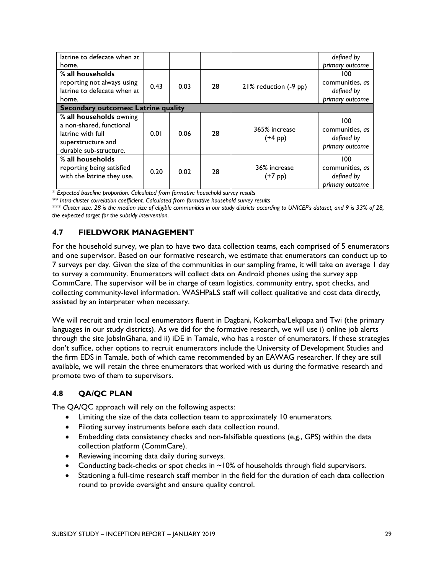| latrine to defecate when at                                                                                              |      |      |    |                            | defined by                                              |
|--------------------------------------------------------------------------------------------------------------------------|------|------|----|----------------------------|---------------------------------------------------------|
| home.                                                                                                                    |      |      |    |                            | primary outcome                                         |
| % all households<br>reporting not always using                                                                           |      |      |    |                            | 100<br>communities, as                                  |
| latrine to defecate when at                                                                                              | 0.43 | 0.03 | 28 | 21% reduction (-9 pp)      | defined by                                              |
| home.                                                                                                                    |      |      |    |                            | primary outcome                                         |
| <b>Secondary outcomes: Latrine quality</b>                                                                               |      |      |    |                            |                                                         |
| % all households owning<br>a non-shared, functional<br>latrine with full<br>superstructure and<br>durable sub-structure. | 0.01 | 0.06 | 28 | 365% increase<br>$(+4$ pp) | 100<br>communities, as<br>defined by<br>primary outcome |
| % all households<br>reporting being satisfied<br>with the latrine they use.                                              | 0.20 | 0.02 | 28 | 36% increase<br>$(+7$ pp)  | 100<br>communities, as<br>defined by<br>primary outcome |

*\* Expected baseline proportion. Calculated from formative household survey results*

*\*\* Intra-cluster correlation coefficient. Calculated from formative household survey results*

*\*\*\* Cluster size. 28 is the median size of eligible communities in our study districts according to UNICEF's dataset, and 9 is 33% of 28, the expected target for the subsidy intervention.*

#### **4.7 FIELDWORK MANAGEMENT**

For the household survey, we plan to have two data collection teams, each comprised of 5 enumerators and one supervisor. Based on our formative research, we estimate that enumerators can conduct up to 7 surveys per day. Given the size of the communities in our sampling frame, it will take on average 1 day to survey a community. Enumerators will collect data on Android phones using the survey app CommCare. The supervisor will be in charge of team logistics, community entry, spot checks, and collecting community-level information. WASHPaLS staff will collect qualitative and cost data directly, assisted by an interpreter when necessary.

We will recruit and train local enumerators fluent in Dagbani, Kokomba/Lekpapa and Twi (the primary languages in our study districts). As we did for the formative research, we will use i) online job alerts through the site JobsInGhana, and ii) iDE in Tamale, who has a roster of enumerators. If these strategies don't suffice, other options to recruit enumerators include the University of Development Studies and the firm EDS in Tamale, both of which came recommended by an EAWAG researcher. If they are still available, we will retain the three enumerators that worked with us during the formative research and promote two of them to supervisors.

#### **4.8 QA/QC PLAN**

The QA/QC approach will rely on the following aspects:

- Limiting the size of the data collection team to approximately 10 enumerators.
- Piloting survey instruments before each data collection round.
- Embedding data consistency checks and non-falsifiable questions (e.g., GPS) within the data collection platform (CommCare).
- Reviewing incoming data daily during surveys.
- Conducting back-checks or spot checks in ~10% of households through field supervisors.
- Stationing a full-time research staff member in the field for the duration of each data collection round to provide oversight and ensure quality control.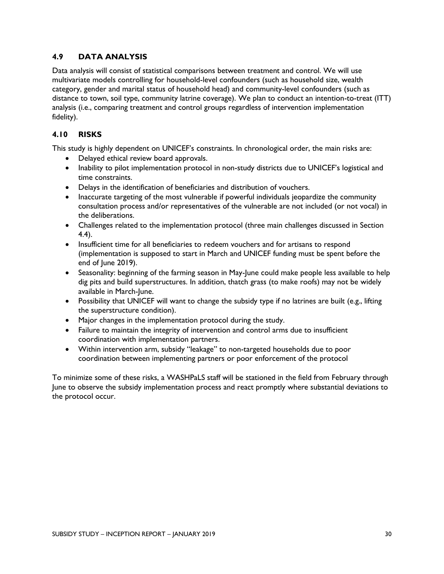#### **4.9 DATA ANALYSIS**

Data analysis will consist of statistical comparisons between treatment and control. We will use multivariate models controlling for household-level confounders (such as household size, wealth category, gender and marital status of household head) and community-level confounders (such as distance to town, soil type, community latrine coverage). We plan to conduct an intention-to-treat (ITT) analysis (i.e., comparing treatment and control groups regardless of intervention implementation fidelity).

#### **4.10 RISKS**

This study is highly dependent on UNICEF's constraints. In chronological order, the main risks are:

- Delayed ethical review board approvals.
- Inability to pilot implementation protocol in non-study districts due to UNICEF's logistical and time constraints.
- Delays in the identification of beneficiaries and distribution of vouchers.
- Inaccurate targeting of the most vulnerable if powerful individuals jeopardize the community consultation process and/or representatives of the vulnerable are not included (or not vocal) in the deliberations.
- Challenges related to the implementation protocol (three main challenges discussed in Section 4.4).
- Insufficient time for all beneficiaries to redeem vouchers and for artisans to respond (implementation is supposed to start in March and UNICEF funding must be spent before the end of June 2019).
- Seasonality: beginning of the farming season in May-June could make people less available to help dig pits and build superstructures. In addition, thatch grass (to make roofs) may not be widely available in March-June.
- Possibility that UNICEF will want to change the subsidy type if no latrines are built (e.g., lifting the superstructure condition).
- Major changes in the implementation protocol during the study.
- Failure to maintain the integrity of intervention and control arms due to insufficient coordination with implementation partners.
- Within intervention arm, subsidy "leakage" to non-targeted households due to poor coordination between implementing partners or poor enforcement of the protocol

To minimize some of these risks, a WASHPaLS staff will be stationed in the field from February through June to observe the subsidy implementation process and react promptly where substantial deviations to the protocol occur.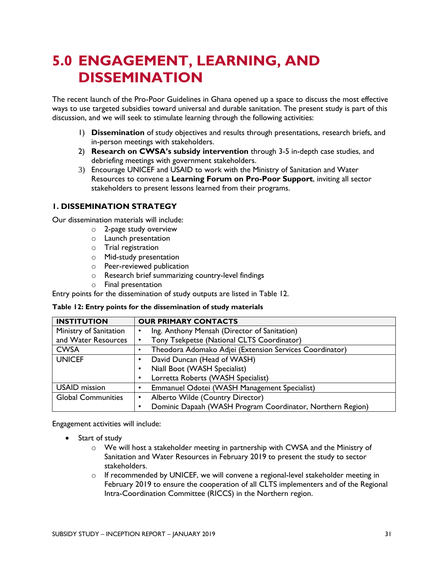### **5.0 ENGAGEMENT, LEARNING, AND DISSEMINATION**

The recent launch of the Pro-Poor Guidelines in Ghana opened up a space to discuss the most effective ways to use targeted subsidies toward universal and durable sanitation. The present study is part of this discussion, and we will seek to stimulate learning through the following activities:

- 1) **Dissemination** of study objectives and results through presentations, research briefs, and in-person meetings with stakeholders.
- 2) **Research on CWSA's subsidy intervention** through 3-5 in-depth case studies, and debriefing meetings with government stakeholders.
- 3) Encourage UNICEF and USAID to work with the Ministry of Sanitation and Water Resources to convene a **Learning Forum on Pro-Poor Support**, inviting all sector stakeholders to present lessons learned from their programs.

#### **1. DISSEMINATION STRATEGY**

Our dissemination materials will include:

- o 2-page study overview
- o Launch presentation
- o Trial registration
- o Mid-study presentation
- o Peer-reviewed publication
- o Research brief summarizing country-level findings
- o Final presentation

Entry points for the dissemination of study outputs are listed in Table 12.

#### **Table 12: Entry points for the dissemination of study materials**

| <b>INSTITUTION</b>        | <b>OUR PRIMARY CONTACTS</b>                                |
|---------------------------|------------------------------------------------------------|
| Ministry of Sanitation    | Ing. Anthony Mensah (Director of Sanitation)               |
| and Water Resources       | Tony Tsekpetse (National CLTS Coordinator)                 |
| <b>CWSA</b>               | Theodora Adomako Adjei (Extension Services Coordinator)    |
| <b>UNICEF</b>             | David Duncan (Head of WASH)                                |
|                           | Niall Boot (WASH Specialist)                               |
|                           | Lorretta Roberts (WASH Specialist)                         |
| <b>USAID</b> mission      | Emmanuel Odotei (WASH Management Specialist)               |
| <b>Global Communities</b> | Alberto Wilde (Country Director)                           |
|                           | Dominic Dapaah (WASH Program Coordinator, Northern Region) |

Engagement activities will include:

- Start of study
	- $\circ$  We will host a stakeholder meeting in partnership with CWSA and the Ministry of Sanitation and Water Resources in February 2019 to present the study to sector stakeholders.
	- $\circ$  If recommended by UNICEF, we will convene a regional-level stakeholder meeting in February 2019 to ensure the cooperation of all CLTS implementers and of the Regional Intra-Coordination Committee (RICCS) in the Northern region.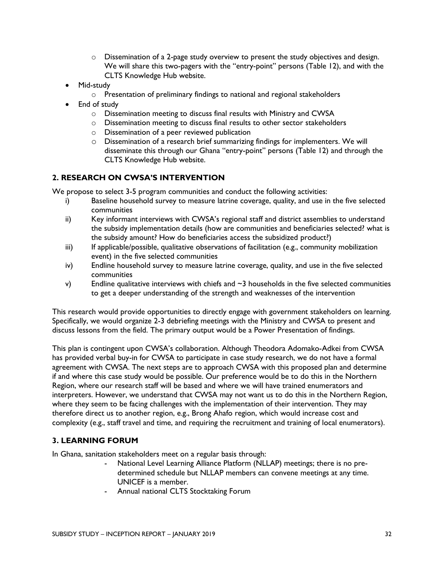- $\circ$  Dissemination of a 2-page study overview to present the study objectives and design. We will share this two-pagers with the "entry-point" persons (Table 12), and with the CLTS Knowledge Hub website.
- Mid-study
	- o Presentation of preliminary findings to national and regional stakeholders
- End of study
	- o Dissemination meeting to discuss final results with Ministry and CWSA
	- o Dissemination meeting to discuss final results to other sector stakeholders
	- o Dissemination of a peer reviewed publication
	- o Dissemination of a research brief summarizing findings for implementers. We will disseminate this through our Ghana "entry-point" persons (Table 12) and through the CLTS Knowledge Hub website.

#### **2. RESEARCH ON CWSA'S INTERVENTION**

We propose to select 3-5 program communities and conduct the following activities:

- i) Baseline household survey to measure latrine coverage, quality, and use in the five selected communities
- ii) Key informant interviews with CWSA's regional staff and district assemblies to understand the subsidy implementation details (how are communities and beneficiaries selected? what is the subsidy amount? How do beneficiaries access the subsidized product?)
- iii) If applicable/possible, qualitative observations of facilitation (e.g., community mobilization event) in the five selected communities
- iv) Endline household survey to measure latrine coverage, quality, and use in the five selected communities
- $v$ ) Endline qualitative interviews with chiefs and  $\sim$ 3 households in the five selected communities to get a deeper understanding of the strength and weaknesses of the intervention

This research would provide opportunities to directly engage with government stakeholders on learning. Specifically, we would organize 2-3 debriefing meetings with the Ministry and CWSA to present and discuss lessons from the field. The primary output would be a Power Presentation of findings.

This plan is contingent upon CWSA's collaboration. Although Theodora Adomako-Adkei from CWSA has provided verbal buy-in for CWSA to participate in case study research, we do not have a formal agreement with CWSA. The next steps are to approach CWSA with this proposed plan and determine if and where this case study would be possible. Our preference would be to do this in the Northern Region, where our research staff will be based and where we will have trained enumerators and interpreters. However, we understand that CWSA may not want us to do this in the Northern Region, where they seem to be facing challenges with the implementation of their intervention. They may therefore direct us to another region, e.g., Brong Ahafo region, which would increase cost and complexity (e.g., staff travel and time, and requiring the recruitment and training of local enumerators).

#### **3. LEARNING FORUM**

In Ghana, sanitation stakeholders meet on a regular basis through:

- National Level Learning Alliance Platform (NLLAP) meetings; there is no predetermined schedule but NLLAP members can convene meetings at any time. UNICEF is a member.
- Annual national CLTS Stocktaking Forum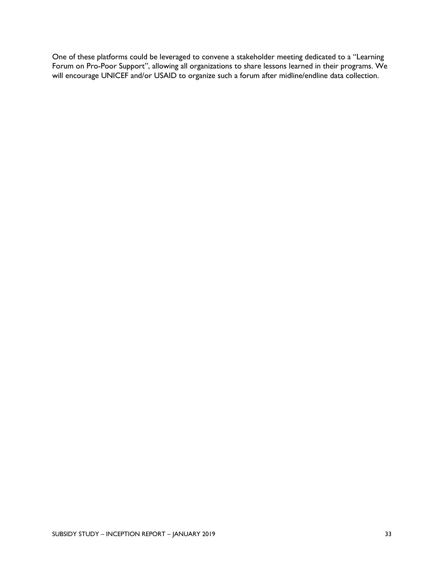One of these platforms could be leveraged to convene a stakeholder meeting dedicated to a "Learning Forum on Pro-Poor Support", allowing all organizations to share lessons learned in their programs. We will encourage UNICEF and/or USAID to organize such a forum after midline/endline data collection.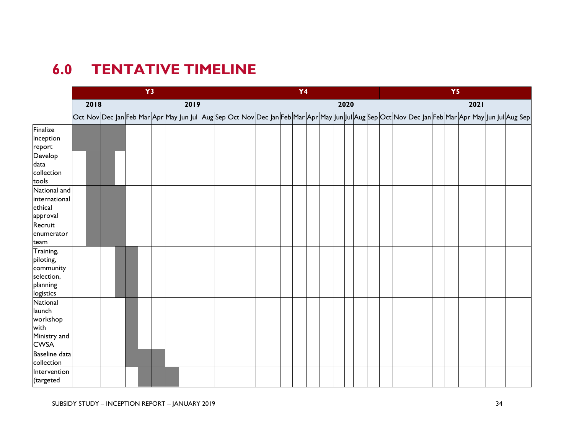## **6.0 TENTATIVE TIMELINE**

|                                                                                   | Y3 |      |  |  |  |  |  |  |  |      |  | <b>Y4</b> |  |  |  |  |  |  |  |      |  |  | Y5 |  |                                                                                                                                                  |  |  |  |  |  |      |  |  |  |  |
|-----------------------------------------------------------------------------------|----|------|--|--|--|--|--|--|--|------|--|-----------|--|--|--|--|--|--|--|------|--|--|----|--|--------------------------------------------------------------------------------------------------------------------------------------------------|--|--|--|--|--|------|--|--|--|--|
|                                                                                   |    | 2018 |  |  |  |  |  |  |  | 2019 |  |           |  |  |  |  |  |  |  | 2020 |  |  |    |  |                                                                                                                                                  |  |  |  |  |  | 2021 |  |  |  |  |
|                                                                                   |    |      |  |  |  |  |  |  |  |      |  |           |  |  |  |  |  |  |  |      |  |  |    |  | Oct Nov Dec Jan Feb Mar Apr May Jun JuI  Aug Sep Oct Nov Dec Jan Feb Mar Apr May Jun JuI Aug Sep Oct Nov Dec Jan Feb Mar Apr May Jun JuI Aug Sep |  |  |  |  |  |      |  |  |  |  |
| Finalize<br>inception<br>report                                                   |    |      |  |  |  |  |  |  |  |      |  |           |  |  |  |  |  |  |  |      |  |  |    |  |                                                                                                                                                  |  |  |  |  |  |      |  |  |  |  |
| Develop<br>data<br>collection<br>tools                                            |    |      |  |  |  |  |  |  |  |      |  |           |  |  |  |  |  |  |  |      |  |  |    |  |                                                                                                                                                  |  |  |  |  |  |      |  |  |  |  |
| National and<br>international<br>ethical<br>approval                              |    |      |  |  |  |  |  |  |  |      |  |           |  |  |  |  |  |  |  |      |  |  |    |  |                                                                                                                                                  |  |  |  |  |  |      |  |  |  |  |
| Recruit<br>enumerator<br>team                                                     |    |      |  |  |  |  |  |  |  |      |  |           |  |  |  |  |  |  |  |      |  |  |    |  |                                                                                                                                                  |  |  |  |  |  |      |  |  |  |  |
| Training,<br>piloting,<br>community<br>selection,<br>planning<br><b>logistics</b> |    |      |  |  |  |  |  |  |  |      |  |           |  |  |  |  |  |  |  |      |  |  |    |  |                                                                                                                                                  |  |  |  |  |  |      |  |  |  |  |
| <b>National</b><br>launch<br>workshop<br>with<br>Ministry and<br><b>CWSA</b>      |    |      |  |  |  |  |  |  |  |      |  |           |  |  |  |  |  |  |  |      |  |  |    |  |                                                                                                                                                  |  |  |  |  |  |      |  |  |  |  |
| Baseline data<br>collection                                                       |    |      |  |  |  |  |  |  |  |      |  |           |  |  |  |  |  |  |  |      |  |  |    |  |                                                                                                                                                  |  |  |  |  |  |      |  |  |  |  |
| Intervention<br>(targeted                                                         |    |      |  |  |  |  |  |  |  |      |  |           |  |  |  |  |  |  |  |      |  |  |    |  |                                                                                                                                                  |  |  |  |  |  |      |  |  |  |  |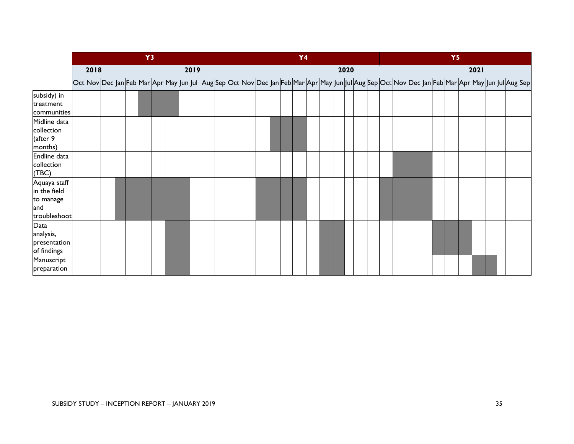|                                                                  | <b>Y3</b> |  |  |  |  |  |  |      |  |  |  |  | <b>Y4</b> |  |  |                                                                                                                                                  |  |  |  |      |  |  |  |  | Y5 |  |  |  |  |  |      |  |  |  |  |  |
|------------------------------------------------------------------|-----------|--|--|--|--|--|--|------|--|--|--|--|-----------|--|--|--------------------------------------------------------------------------------------------------------------------------------------------------|--|--|--|------|--|--|--|--|----|--|--|--|--|--|------|--|--|--|--|--|
|                                                                  | 2018      |  |  |  |  |  |  | 2019 |  |  |  |  |           |  |  |                                                                                                                                                  |  |  |  | 2020 |  |  |  |  |    |  |  |  |  |  | 2021 |  |  |  |  |  |
|                                                                  |           |  |  |  |  |  |  |      |  |  |  |  |           |  |  | Oct Nov Dec Jan Feb Mar Apr May Jun JuI  Aug Sep Oct Nov Dec Jan Feb Mar Apr May Jun JuI Aug Sep Oct Nov Dec Jan Feb Mar Apr May Jun JuI Aug Sep |  |  |  |      |  |  |  |  |    |  |  |  |  |  |      |  |  |  |  |  |
| subsidy) in<br>treatment<br>communities                          |           |  |  |  |  |  |  |      |  |  |  |  |           |  |  |                                                                                                                                                  |  |  |  |      |  |  |  |  |    |  |  |  |  |  |      |  |  |  |  |  |
| Midline data<br>collection<br>(after 9<br>months)                |           |  |  |  |  |  |  |      |  |  |  |  |           |  |  |                                                                                                                                                  |  |  |  |      |  |  |  |  |    |  |  |  |  |  |      |  |  |  |  |  |
| Endline data<br>collection<br>(TBC)                              |           |  |  |  |  |  |  |      |  |  |  |  |           |  |  |                                                                                                                                                  |  |  |  |      |  |  |  |  |    |  |  |  |  |  |      |  |  |  |  |  |
| Aquaya staff<br>in the field<br>to manage<br>and<br>troubleshoot |           |  |  |  |  |  |  |      |  |  |  |  |           |  |  |                                                                                                                                                  |  |  |  |      |  |  |  |  |    |  |  |  |  |  |      |  |  |  |  |  |
| Data<br>analysis,<br>presentation<br>of findings                 |           |  |  |  |  |  |  |      |  |  |  |  |           |  |  |                                                                                                                                                  |  |  |  |      |  |  |  |  |    |  |  |  |  |  |      |  |  |  |  |  |
| Manuscript<br>preparation                                        |           |  |  |  |  |  |  |      |  |  |  |  |           |  |  |                                                                                                                                                  |  |  |  |      |  |  |  |  |    |  |  |  |  |  |      |  |  |  |  |  |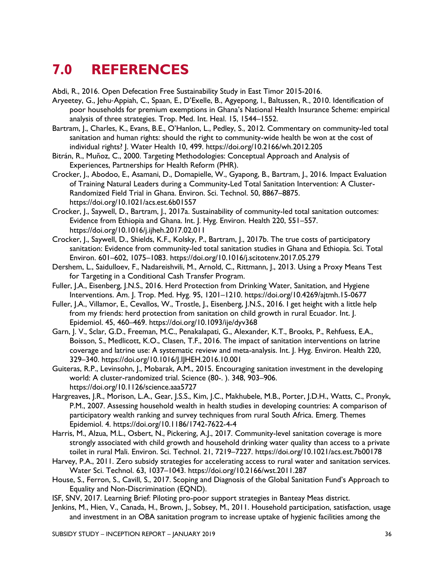### **7.0 REFERENCES**

Abdi, R., 2016. Open Defecation Free Sustainability Study in East Timor 2015-2016.

- Aryeetey, G., Jehu‐Appiah, C., Spaan, E., D'Exelle, B., Agyepong, I., Baltussen, R., 2010. Identification of poor households for premium exemptions in Ghana's National Health Insurance Scheme: empirical analysis of three strategies. Trop. Med. Int. Heal. 15, 1544–1552.
- Bartram, J., Charles, K., Evans, B.E., O'Hanlon, L., Pedley, S., 2012. Commentary on community-led total sanitation and human rights: should the right to community-wide health be won at the cost of individual rights? J. Water Health 10, 499. https://doi.org/10.2166/wh.2012.205
- Bitrán, R., Muñoz, C., 2000. Targeting Methodologies: Conceptual Approach and Analysis of Experiences, Partnerships for Health Reform (PHR).
- Crocker, J., Abodoo, E., Asamani, D., Domapielle, W., Gyapong, B., Bartram, J., 2016. Impact Evaluation of Training Natural Leaders during a Community-Led Total Sanitation Intervention: A Cluster-Randomized Field Trial in Ghana. Environ. Sci. Technol. 50, 8867–8875. https://doi.org/10.1021/acs.est.6b01557
- Crocker, J., Saywell, D., Bartram, J., 2017a. Sustainability of community-led total sanitation outcomes: Evidence from Ethiopia and Ghana. Int. J. Hyg. Environ. Health 220, 551–557. https://doi.org/10.1016/j.ijheh.2017.02.011
- Crocker, J., Saywell, D., Shields, K.F., Kolsky, P., Bartram, J., 2017b. The true costs of participatory sanitation: Evidence from community-led total sanitation studies in Ghana and Ethiopia. Sci. Total Environ. 601–602, 1075–1083. https://doi.org/10.1016/j.scitotenv.2017.05.279
- Dershem, L., Saidulloev, F., Nadareishvili, M., Arnold, C., Rittmann, J., 2013. Using a Proxy Means Test for Targeting in a Conditional Cash Transfer Program.
- Fuller, J.A., Eisenberg, J.N.S., 2016. Herd Protection from Drinking Water, Sanitation, and Hygiene Interventions. Am. J. Trop. Med. Hyg. 95, 1201–1210. https://doi.org/10.4269/ajtmh.15-0677
- Fuller, J.A., Villamor, E., Cevallos, W., Trostle, J., Eisenberg, J.N.S., 2016. I get height with a little help from my friends: herd protection from sanitation on child growth in rural Ecuador. Int. J. Epidemiol. 45, 460–469. https://doi.org/10.1093/ije/dyv368
- Garn, J. V., Sclar, G.D., Freeman, M.C., Penakalapati, G., Alexander, K.T., Brooks, P., Rehfuess, E.A., Boisson, S., Medlicott, K.O., Clasen, T.F., 2016. The impact of sanitation interventions on latrine coverage and latrine use: A systematic review and meta-analysis. Int. J. Hyg. Environ. Health 220, 329–340. https://doi.org/10.1016/J.IJHEH.2016.10.001
- Guiteras, R.P., Levinsohn, J., Mobarak, A.M., 2015. Encouraging sanitation investment in the developing world: A cluster-randomized trial. Science (80-. ). 348, 903–906. https://doi.org/10.1126/science.aaa5727
- Hargreaves, J.R., Morison, L.A., Gear, J.S.S., Kim, J.C., Makhubele, M.B., Porter, J.D.H., Watts, C., Pronyk, P.M., 2007. Assessing household wealth in health studies in developing countries: A comparison of participatory wealth ranking and survey techniques from rural South Africa. Emerg. Themes Epidemiol. 4. https://doi.org/10.1186/1742-7622-4-4
- Harris, M., Alzua, M.L., Osbert, N., Pickering, A.J., 2017. Community-level sanitation coverage is more strongly associated with child growth and household drinking water quality than access to a private toilet in rural Mali. Environ. Sci. Technol. 21, 7219–7227. https://doi.org/10.1021/acs.est.7b00178
- Harvey, P.A., 2011. Zero subsidy strategies for accelerating access to rural water and sanitation services. Water Sci. Technol. 63, 1037–1043. https://doi.org/10.2166/wst.2011.287
- House, S., Ferron, S., Cavill, S., 2017. Scoping and Diagnosis of the Global Sanitation Fund's Approach to Equality and Non-Discrimination (EQND).

ISF, SNV, 2017. Learning Brief: Piloting pro-poor support strategies in Banteay Meas district.

Jenkins, M., Hien, V., Canada, H., Brown, J., Sobsey, M., 2011. Household participation, satisfaction, usage and investment in an OBA sanitation program to increase uptake of hygienic facilities among the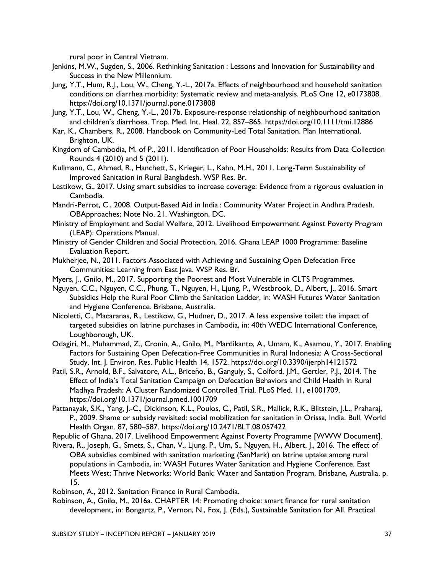rural poor in Central Vietnam.

- Jenkins, M.W., Sugden, S., 2006. Rethinking Sanitation : Lessons and Innovation for Sustainability and Success in the New Millennium.
- Jung, Y.T., Hum, R.J., Lou, W., Cheng, Y.-L., 2017a. Effects of neighbourhood and household sanitation conditions on diarrhea morbidity: Systematic review and meta-analysis. PLoS One 12, e0173808. https://doi.org/10.1371/journal.pone.0173808
- Jung, Y.T., Lou, W., Cheng, Y.-L., 2017b. Exposure-response relationship of neighbourhood sanitation and children's diarrhoea. Trop. Med. Int. Heal. 22, 857–865. https://doi.org/10.1111/tmi.12886
- Kar, K., Chambers, R., 2008. Handbook on Community-Led Total Sanitation. Plan International, Brighton, UK.
- Kingdom of Cambodia, M. of P., 2011. Identification of Poor Households: Results from Data Collection Rounds 4 (2010) and 5 (2011).
- Kullmann, C., Ahmed, R., Hanchett, S., Krieger, L., Kahn, M.H., 2011. Long-Term Sustainability of Improved Sanitation in Rural Bangladesh. WSP Res. Br.
- Lestikow, G., 2017. Using smart subsidies to increase coverage: Evidence from a rigorous evaluation in Cambodia.
- Mandri-Perrot, C., 2008. Output-Based Aid in India : Community Water Project in Andhra Pradesh. OBApproaches; Note No. 21. Washington, DC.
- Ministry of Employment and Social Welfare, 2012. Livelihood Empowerment Against Poverty Program (LEAP): Operations Manual.
- Ministry of Gender Children and Social Protection, 2016. Ghana LEAP 1000 Programme: Baseline Evaluation Report.
- Mukherjee, N., 2011. Factors Associated with Achieving and Sustaining Open Defecation Free Communities: Learning from East Java. WSP Res. Br.
- Myers, J., Gnilo, M., 2017. Supporting the Poorest and Most Vulnerable in CLTS Programmes.
- Nguyen, C.C., Nguyen, C.C., Phung, T., Nguyen, H., Ljung, P., Westbrook, D., Albert, J., 2016. Smart Subsidies Help the Rural Poor Climb the Sanitation Ladder, in: WASH Futures Water Sanitation and Hygiene Conference. Brisbane, Australia.
- Nicoletti, C., Macaranas, R., Lestikow, G., Hudner, D., 2017. A less expensive toilet: the impact of targeted subsidies on latrine purchases in Cambodia, in: 40th WEDC International Conference, Loughborough, UK.
- Odagiri, M., Muhammad, Z., Cronin, A., Gnilo, M., Mardikanto, A., Umam, K., Asamou, Y., 2017. Enabling Factors for Sustaining Open Defecation-Free Communities in Rural Indonesia: A Cross-Sectional Study. Int. J. Environ. Res. Public Health 14, 1572. https://doi.org/10.3390/ijerph14121572
- Patil, S.R., Arnold, B.F., Salvatore, A.L., Briceño, B., Ganguly, S., Colford, J.M., Gertler, P.J., 2014. The Effect of India's Total Sanitation Campaign on Defecation Behaviors and Child Health in Rural Madhya Pradesh: A Cluster Randomized Controlled Trial. PLoS Med. 11, e1001709. https://doi.org/10.1371/journal.pmed.1001709
- Pattanayak, S.K., Yang, J.-C., Dickinson, K.L., Poulos, C., Patil, S.R., Mallick, R.K., Blitstein, J.L., Praharaj, P., 2009. Shame or subsidy revisited: social mobilization for sanitation in Orissa, India. Bull. World Health Organ. 87, 580–587. https://doi.org/10.2471/BLT.08.057422
- Republic of Ghana, 2017. Livelihood Empowerment Against Poverty Programme [WWW Document].
- Rivera, R., Joseph, G., Smets, S., Chan, V., Ljung, P., Um, S., Nguyen, H., Albert, J., 2016. The effect of OBA subsidies combined with sanitation marketing (SanMark) on latrine uptake among rural populations in Cambodia, in: WASH Futures Water Sanitation and Hygiene Conference. East Meets West; Thrive Networks; World Bank; Water and Santation Program, Brisbane, Australia, p. 15.

Robinson, A., 2012. Sanitation Finance in Rural Cambodia.

Robinson, A., Gnilo, M., 2016a. CHAPTER 14: Promoting choice: smart finance for rural sanitation development, in: Bongartz, P., Vernon, N., Fox, J. (Eds.), Sustainable Sanitation for All. Practical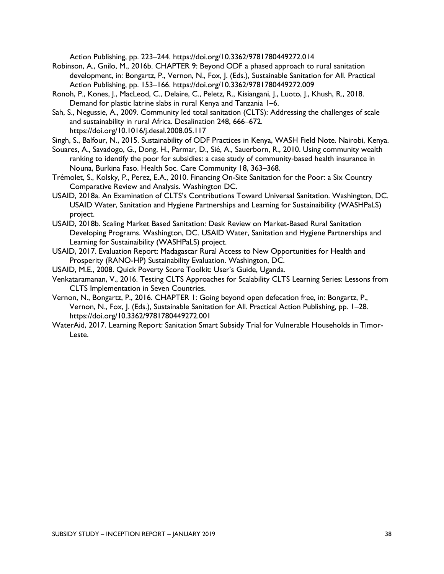Action Publishing, pp. 223–244. https://doi.org/10.3362/9781780449272.014

- Robinson, A., Gnilo, M., 2016b. CHAPTER 9: Beyond ODF a phased approach to rural sanitation development, in: Bongartz, P., Vernon, N., Fox, J. (Eds.), Sustainable Sanitation for All. Practical Action Publishing, pp. 153–166. https://doi.org/10.3362/9781780449272.009
- Ronoh, P., Kones, J., MacLeod, C., Delaire, C., Peletz, R., Kisiangani, J., Luoto, J., Khush, R., 2018. Demand for plastic latrine slabs in rural Kenya and Tanzania 1–6.
- Sah, S., Negussie, A., 2009. Community led total sanitation (CLTS): Addressing the challenges of scale and sustainability in rural Africa. Desalination 248, 666–672. https://doi.org/10.1016/j.desal.2008.05.117
- Singh, S., Balfour, N., 2015. Sustainability of ODF Practices in Kenya, WASH Field Note. Nairobi, Kenya.
- Souares, A., Savadogo, G., Dong, H., Parmar, D., Sié, A., Sauerborn, R., 2010. Using community wealth ranking to identify the poor for subsidies: a case study of community-based health insurance in Nouna, Burkina Faso. Health Soc. Care Community 18, 363–368.
- Trémolet, S., Kolsky, P., Perez, E.A., 2010. Financing On-Site Sanitation for the Poor: a Six Country Comparative Review and Analysis. Washington DC.
- USAID, 2018a. An Examination of CLTS's Contributions Toward Universal Sanitation. Washington, DC. USAID Water, Sanitation and Hygiene Partnerships and Learning for Sustainaibility (WASHPaLS) project.
- USAID, 2018b. Scaling Market Based Sanitation: Desk Review on Market-Based Rural Sanitation Developing Programs. Washington, DC. USAID Water, Sanitation and Hygiene Partnerships and Learning for Sustainaibility (WASHPaLS) project.
- USAID, 2017. Evaluation Report: Madagascar Rural Access to New Opportunities for Health and Prosperity (RANO-HP) Sustainability Evaluation. Washington, DC.
- USAID, M.E., 2008. Quick Poverty Score Toolkit: User's Guide, Uganda.
- Venkataramanan, V., 2016. Testing CLTS Approaches for Scalability CLTS Learning Series: Lessons from CLTS Implementation in Seven Countries.
- Vernon, N., Bongartz, P., 2016. CHAPTER 1: Going beyond open defecation free, in: Bongartz, P., Vernon, N., Fox, J. (Eds.), Sustainable Sanitation for All. Practical Action Publishing, pp. 1–28. https://doi.org/10.3362/9781780449272.001
- WaterAid, 2017. Learning Report: Sanitation Smart Subsidy Trial for Vulnerable Households in Timor-Leste.